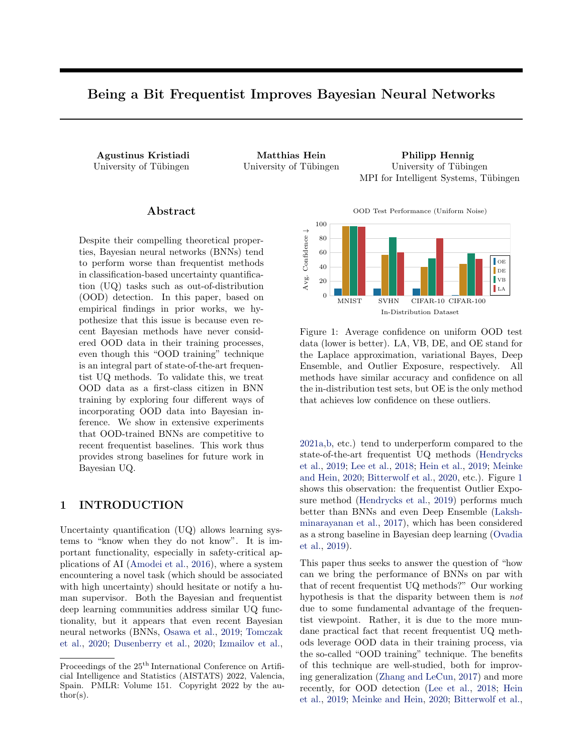# Being a Bit Frequentist Improves Bayesian Neural Networks

Agustinus Kristiadi Matthias Hein Philipp Hennig University of Tübingen University of Tübingen University of Tübingen MPI for Intelligent Systems, Tübingen

## ${\rm Abstract}$

Despite their compelling theoretical properties, Bayesian neural networks (BNNs) tend to perform worse than frequentist methods in classification-based uncertainty quantification (UQ) tasks such as out-of-distribution (OOD) detection. In this paper, based on empirical findings in prior works, we hypothesize that this issue is because even recent Bayesian methods have never considered OOD data in their training processes, even though this "OOD training" technique is an integral part of state-of-the-art frequentist UQ methods. To validate this, we treat OOD data as a first-class citizen in BNN training by exploring four different ways of incorporating OOD data into Bayesian inference. We show in extensive experiments that OOD-trained BNNs are competitive to recent frequentist baselines. This work thus provides strong baselines for future work in Bayesian UQ.

## 1 INTRODUCTION

Uncertainty quantification (UQ) allows learning systems to "know when they do not know". It is important functionality, especially in safety-critical applications of AI [\(Amodei et al.,](#page-8-0) [2016\)](#page-8-0), where a system encountering a novel task (which should be associated with high uncertainty) should hesitate or notify a human supervisor. Both the Bayesian and frequentist deep learning communities address similar UQ functionality, but it appears that even recent Bayesian neural networks (BNNs, [Osawa et al.,](#page-9-0) [2019;](#page-9-0) [Tomczak](#page-9-1) [et al.,](#page-9-1) [2020;](#page-9-1) [Dusenberry et al.,](#page-8-1) [2020;](#page-8-1) [Izmailov et al.,](#page-9-2)

OOD Test Performance (Uniform Noise)

<span id="page-0-0"></span>

Figure 1: Average confidence on uniform OOD test data (lower is better). LA, VB, DE, and OE stand for the Laplace approximation, variational Bayes, Deep Ensemble, and Outlier Exposure, respectively. All methods have similar accuracy and confidence on all the in-distribution test sets, but OE is the only method that achieves low confidence on these outliers.

[2021a,](#page-9-2)[b,](#page-9-3) etc.) tend to underperform compared to the state-of-the-art frequentist UQ methods [\(Hendrycks](#page-8-2) [et al.,](#page-8-2) [2019;](#page-8-2) [Lee et al.,](#page-9-4) [2018;](#page-9-4) [Hein et al.,](#page-8-3) [2019;](#page-8-3) [Meinke](#page-9-5) [and Hein,](#page-9-5) [2020;](#page-9-5) [Bitterwolf et al.,](#page-8-4) [2020,](#page-8-4) etc.). Figure [1](#page-0-0) shows this observation: the frequentist Outlier Exposure method [\(Hendrycks et al.,](#page-8-2) [2019\)](#page-8-2) performs much better than BNNs and even Deep Ensemble [\(Laksh](#page-9-6)[minarayanan et al.,](#page-9-6) [2017\)](#page-9-6), which has been considered as a strong baseline in Bayesian deep learning [\(Ovadia](#page-9-7) [et al.,](#page-9-7) [2019\)](#page-9-7).

This paper thus seeks to answer the question of "how can we bring the performance of BNNs on par with that of recent frequentist UQ methods?" Our working hypothesis is that the disparity between them is not due to some fundamental advantage of the frequentist viewpoint. Rather, it is due to the more mundane practical fact that recent frequentist UQ methods leverage OOD data in their training process, via the so-called "OOD training" technique. The benefits of this technique are well-studied, both for improving generalization [\(Zhang and LeCun,](#page-10-0) [2017\)](#page-10-0) and more recently, for OOD detection [\(Lee et al.,](#page-9-4) [2018;](#page-9-4) [Hein](#page-8-3) [et al.,](#page-8-3) [2019;](#page-8-3) [Meinke and Hein,](#page-9-5) [2020;](#page-9-5) [Bitterwolf et al.,](#page-8-4)

Proceedings of the  $25<sup>th</sup>$  International Conference on Artificial Intelligence and Statistics (AISTATS) 2022, Valencia, Spain. PMLR: Volume 151. Copyright 2022 by the au- $\text{thor}(s)$ .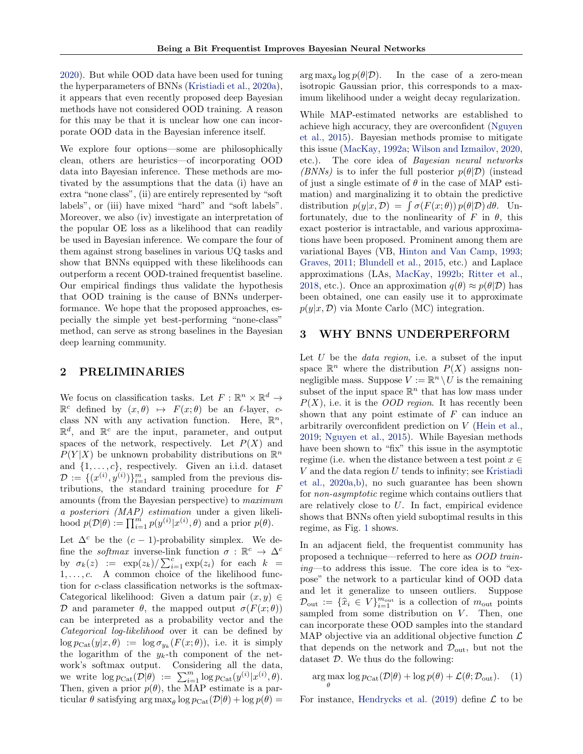[2020\)](#page-8-4). But while OOD data have been used for tuning the hyperparameters of BNNs [\(Kristiadi et al.,](#page-9-8) [2020a\)](#page-9-8), it appears that even recently proposed deep Bayesian methods have not considered OOD training. A reason for this may be that it is unclear how one can incorporate OOD data in the Bayesian inference itself.

We explore four options—some are philosophically clean, others are heuristics—of incorporating OOD data into Bayesian inference. These methods are motivated by the assumptions that the data (i) have an extra "none class", (ii) are entirely represented by "soft labels", or (iii) have mixed "hard" and "soft labels". Moreover, we also (iv) investigate an interpretation of the popular OE loss as a likelihood that can readily be used in Bayesian inference. We compare the four of them against strong baselines in various UQ tasks and show that BNNs equipped with these likelihoods can outperform a recent OOD-trained frequentist baseline. Our empirical findings thus validate the hypothesis that OOD training is the cause of BNNs underperformance. We hope that the proposed approaches, especially the simple yet best-performing "none-class" method, can serve as strong baselines in the Bayesian deep learning community.

## 2 PRELIMINARIES

We focus on classification tasks. Let  $F: \mathbb{R}^n \times \mathbb{R}^d \to$  $\mathbb{R}^c$  defined by  $(x, \theta) \mapsto F(x; \theta)$  be an  $\ell$ -layer, cclass NN with any activation function. Here,  $\mathbb{R}^n$ ,  $\mathbb{R}^d$ , and  $\mathbb{R}^c$  are the input, parameter, and output spaces of the network, respectively. Let  $P(X)$  and  $P(Y|X)$  be unknown probability distributions on  $\mathbb{R}^n$ and  $\{1, \ldots, c\}$ , respectively. Given an i.i.d. dataset  $\mathcal{D} := \{(x^{(i)}, y^{(i)})\}_{i=1}^m$  sampled from the previous distributions, the standard training procedure for F amounts (from the Bayesian perspective) to maximum a posteriori (MAP) estimation under a given likelihood  $p(\mathcal{D}|\theta) := \prod_{i=1}^m p(y^{(i)}|x^{(i)}, \theta)$  and a prior  $p(\theta)$ .

Let  $\Delta^c$  be the  $(c-1)$ -probability simplex. We define the *softmax* inverse-link function  $\sigma : \mathbb{R}^c \to \Delta^c$ by  $\sigma_k(z) := \exp(z_k) / \sum_{i=1}^c \exp(z_i)$  for each  $k =$  $1, \ldots, c$ . A common choice of the likelihood function for c-class classification networks is the softmax-Categorical likelihood: Given a datum pair  $(x, y) \in$ D and parameter  $\theta$ , the mapped output  $\sigma(F(x; \theta))$ can be interpreted as a probability vector and the Categorical log-likelihood over it can be defined by  $\log p_{\text{Cat}}(y|x,\theta) := \log \sigma_{y_k}(F(x;\theta)),$  i.e. it is simply the logarithm of the  $y_k$ -th component of the network's softmax output. Considering all the data, we write  $\log p_{\text{Cat}}(\mathcal{D}|\theta) := \sum_{i=1}^m \log p_{\text{Cat}}(y^{(i)}|x^{(i)}, \theta).$ Then, given a prior  $p(\theta)$ , the MAP estimate is a particular  $\theta$  satisfying  $\arg \max_{\theta} \log p_{\text{Cat}}(\mathcal{D}|\theta) + \log p(\theta) =$ 

 $\arg \max_{\theta} \log p(\theta | \mathcal{D}).$ In the case of a zero-mean isotropic Gaussian prior, this corresponds to a maximum likelihood under a weight decay regularization.

While MAP-estimated networks are established to achieve high accuracy, they are overconfident [\(Nguyen](#page-9-9) [et al.,](#page-9-9) [2015\)](#page-9-9). Bayesian methods promise to mitigate this issue [\(MacKay,](#page-9-10) [1992a;](#page-9-10) [Wilson and Izmailov,](#page-9-11) [2020,](#page-9-11) etc.). The core idea of Bayesian neural networks (BNNs) is to infer the full posterior  $p(\theta|\mathcal{D})$  (instead of just a single estimate of  $\theta$  in the case of MAP estimation) and marginalizing it to obtain the predictive distribution  $p(y|x, \mathcal{D}) = \int \sigma(F(x; \theta)) p(\theta | \mathcal{D}) d\theta$ . Unfortunately, due to the nonlinearity of F in  $\theta$ , this exact posterior is intractable, and various approximations have been proposed. Prominent among them are variational Bayes (VB, [Hinton and Van Camp,](#page-8-5) [1993;](#page-8-5) [Graves,](#page-8-6) [2011;](#page-8-6) [Blundell et al.,](#page-8-7) [2015,](#page-8-7) etc.) and Laplace approximations (LAs, [MacKay,](#page-9-12) [1992b;](#page-9-12) [Ritter et al.,](#page-9-13) [2018,](#page-9-13) etc.). Once an approximation  $q(\theta) \approx p(\theta|\mathcal{D})$  has been obtained, one can easily use it to approximate  $p(y|x, \mathcal{D})$  via Monte Carlo (MC) integration.

### 3 WHY BNNS UNDERPERFORM

Let  $U$  be the *data region*, i.e. a subset of the input space  $\mathbb{R}^n$  where the distribution  $P(X)$  assigns nonnegligible mass. Suppose  $V := \mathbb{R}^n \setminus U$  is the remaining subset of the input space  $\mathbb{R}^n$  that has low mass under  $P(X)$ , i.e. it is the *OOD region*. It has recently been shown that any point estimate of  $F$  can induce an arbitrarily overconfident prediction on V [\(Hein et al.,](#page-8-3) [2019;](#page-8-3) [Nguyen et al.,](#page-9-9) [2015\)](#page-9-9). While Bayesian methods have been shown to "fix" this issue in the asymptotic regime (i.e. when the distance between a test point  $x \in$  $V$  and the data region  $U$  tends to infinity; see [Kristiadi](#page-9-8) [et al.,](#page-9-8) [2020a,](#page-9-8)[b\)](#page-9-14), no such guarantee has been shown for non-asymptotic regime which contains outliers that are relatively close to U. In fact, empirical evidence shows that BNNs often yield suboptimal results in this regime, as Fig. [1](#page-0-0) shows.

In an adjacent field, the frequentist community has proposed a technique—referred to here as OOD training—to address this issue. The core idea is to "expose" the network to a particular kind of OOD data and let it generalize to unseen outliers. Suppose  $\mathcal{D}_{\text{out}} := \{\hat{x}_i \in V\}_{i=1}^{m_{\text{out}}}$  is a collection of  $m_{\text{out}}$  points<br>sampled from some distribution on  $V$ . Then, one sampled from some distribution on  $V$ . Then, one can incorporate these OOD samples into the standard MAP objective via an additional objective function  $\mathcal L$ that depends on the network and  $\mathcal{D}_{\text{out}}$ , but not the dataset  $D$ . We thus do the following:

<span id="page-1-0"></span>
$$
\underset{\theta}{\arg\max} \log p_{\text{Cat}}(\mathcal{D}|\theta) + \log p(\theta) + \mathcal{L}(\theta; \mathcal{D}_{\text{out}}). \quad (1)
$$

For instance, [Hendrycks et al.](#page-8-2) [\(2019\)](#page-8-2) define  $\mathcal L$  to be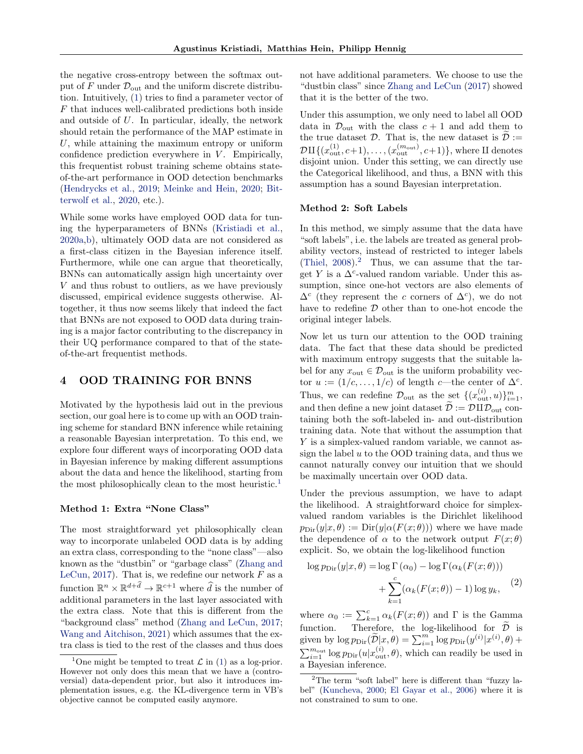the negative cross-entropy between the softmax output of  $F$  under  $\mathcal{D}_{\text{out}}$  and the uniform discrete distribution. Intuitively, [\(1\)](#page-1-0) tries to find a parameter vector of F that induces well-calibrated predictions both inside and outside of U. In particular, ideally, the network should retain the performance of the MAP estimate in U, while attaining the maximum entropy or uniform confidence prediction everywhere in  $V$ . Empirically, this frequentist robust training scheme obtains stateof-the-art performance in OOD detection benchmarks [\(Hendrycks et al.,](#page-8-2) [2019;](#page-8-2) [Meinke and Hein,](#page-9-5) [2020;](#page-9-5) [Bit](#page-8-4)[terwolf et al.,](#page-8-4) [2020,](#page-8-4) etc.).

While some works have employed OOD data for tuning the hyperparameters of BNNs [\(Kristiadi et al.,](#page-9-8) [2020a,](#page-9-8)[b\)](#page-9-14), ultimately OOD data are not considered as a first-class citizen in the Bayesian inference itself. Furthermore, while one can argue that theoretically, BNNs can automatically assign high uncertainty over V and thus robust to outliers, as we have previously discussed, empirical evidence suggests otherwise. Altogether, it thus now seems likely that indeed the fact that BNNs are not exposed to OOD data during training is a major factor contributing to the discrepancy in their UQ performance compared to that of the stateof-the-art frequentist methods.

#### <span id="page-2-3"></span>4 OOD TRAINING FOR BNNS

Motivated by the hypothesis laid out in the previous section, our goal here is to come up with an OOD training scheme for standard BNN inference while retaining a reasonable Bayesian interpretation. To this end, we explore four different ways of incorporating OOD data in Bayesian inference by making different assumptions about the data and hence the likelihood, starting from the most philosophically clean to the most heuristic.<sup>[1](#page-2-0)</sup>

#### Method 1: Extra "None Class"

The most straightforward yet philosophically clean way to incorporate unlabeled OOD data is by adding an extra class, corresponding to the "none class"—also known as the "dustbin" or "garbage class" [\(Zhang and](#page-10-0) [LeCun,](#page-10-0) [2017\)](#page-10-0). That is, we redefine our network  $F$  as a function  $\mathbb{R}^n \times \mathbb{R}^{d+\hat{d}} \to \mathbb{R}^{c+1}$  where  $\hat{d}$  is the number of additional parameters in the last layer associated with the extra class. Note that this is different from the "background class" method [\(Zhang and LeCun,](#page-10-0) [2017;](#page-10-0) [Wang and Aitchison,](#page-9-15) [2021\)](#page-9-15) which assumes that the extra class is tied to the rest of the classes and thus does not have additional parameters. We choose to use the "dustbin class" since [Zhang and LeCun](#page-10-0) [\(2017\)](#page-10-0) showed that it is the better of the two.

Under this assumption, we only need to label all OOD data in  $\mathcal{D}_{\text{out}}$  with the class  $c + 1$  and add them to the true dataset  $D$ . That is, the new dataset is  $D :=$  $\mathcal{D}\amalg \{(x_\text{out}^{(1)}, c+1), \ldots, (x_\text{out}^{(m_\text{out})}, c+1)\},$  where  $\amalg$  denotes disjoint union. Under this setting, we can directly use the Categorical likelihood, and thus, a BNN with this assumption has a sound Bayesian interpretation.

#### Method 2: Soft Labels

In this method, we simply assume that the data have "soft labels", i.e. the labels are treated as general probability vectors, instead of restricted to integer labels [\(Thiel,](#page-9-16)  $2008$  $2008$ ).<sup>2</sup> Thus, we can assume that the target Y is a  $\Delta^c$ -valued random variable. Under this assumption, since one-hot vectors are also elements of  $\Delta^c$  (they represent the c corners of  $\Delta^c$ ), we do not have to redefine  $D$  other than to one-hot encode the original integer labels.

Now let us turn our attention to the OOD training data. The fact that these data should be predicted with maximum entropy suggests that the suitable label for any  $x_{\text{out}} \in \mathcal{D}_{\text{out}}$  is the uniform probability vector  $u := (1/c, \ldots, 1/c)$  of length c—the center of  $\Delta^c$ . Thus, we can redefine  $\mathcal{D}_{\text{out}}$  as the set  $\{(x_{\text{out}}^{(i)}, u)\}_{i=1}^m$ , and then define a new joint dataset  $\widetilde{\mathcal{D}} := \mathcal{D} \amalg \mathcal{D}_{\text{out}}$  containing both the soft-labeled in- and out-distribution training data. Note that without the assumption that Y is a simplex-valued random variable, we cannot assign the label  $u$  to the OOD training data, and thus we cannot naturally convey our intuition that we should be maximally uncertain over OOD data.

Under the previous assumption, we have to adapt the likelihood. A straightforward choice for simplexvalued random variables is the Dirichlet likelihood  $p_{\text{Dir}}(y|x,\theta) := \text{Dir}(y|\alpha(F(x;\theta)))$  where we have made the dependence of  $\alpha$  to the network output  $F(x;\theta)$ explicit. So, we obtain the log-likelihood function

<span id="page-2-2"></span>
$$
\log p_{\text{Dir}}(y|x,\theta) = \log \Gamma(\alpha_0) - \log \Gamma(\alpha_k(F(x;\theta)))
$$

$$
+ \sum_{k=1}^{c} (\alpha_k(F(x;\theta)) - 1) \log y_k,
$$
 (2)

where  $\alpha_0 := \sum_{k=1}^c \alpha_k(F(x; \theta))$  and  $\Gamma$  is the Gamma function. Therefore, the log-likelihood for  $\mathcal{D}$  is given by  $\log p_{\text{Dir}}(\widetilde{\mathcal{D}}|\mathcal{x},\theta) = \sum_{i=1}^{m} \log p_{\text{Dir}}(y^{(i)}|x^{(i)},\theta) +$  $\sum_{i=1}^{m_{\text{out}}} \log p_{\text{Dir}}(u|x_{\text{out}}^{(i)}, \theta)$ , which can readily be used in a Bayesian inference.

<span id="page-2-0"></span><sup>&</sup>lt;sup>1</sup>One might be tempted to treat  $\mathcal L$  in [\(1\)](#page-1-0) as a log-prior. However not only does this mean that we have a (controversial) data-dependent prior, but also it introduces implementation issues, e.g. the KL-divergence term in VB's objective cannot be computed easily anymore.

<span id="page-2-1"></span><sup>&</sup>lt;sup>2</sup>The term "soft label" here is different than "fuzzy label" [\(Kuncheva,](#page-9-17) [2000;](#page-9-17) [El Gayar et al.,](#page-8-8) [2006\)](#page-8-8) where it is not constrained to sum to one.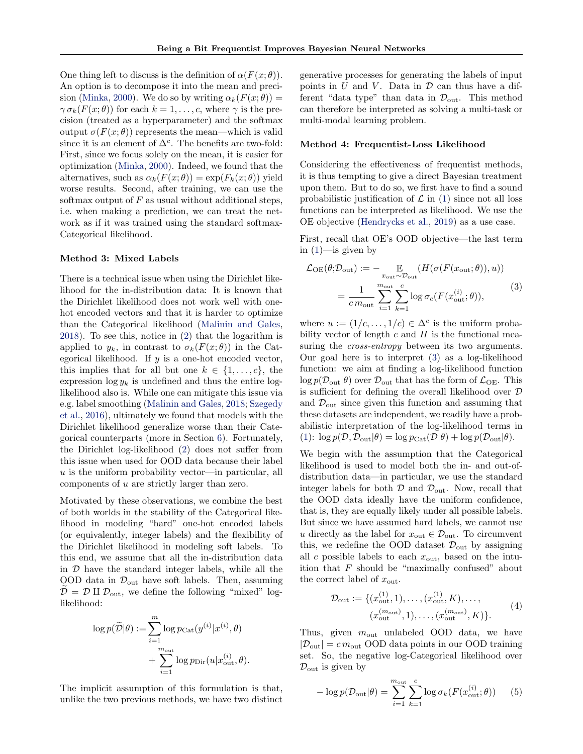One thing left to discuss is the definition of  $\alpha(F(x; \theta))$ . An option is to decompose it into the mean and preci-sion [\(Minka,](#page-9-18) [2000\)](#page-9-18). We do so by writing  $\alpha_k(F(x;\theta)) =$  $\gamma \sigma_k(F(x; \theta))$  for each  $k = 1, \ldots, c$ , where  $\gamma$  is the precision (treated as a hyperparameter) and the softmax output  $\sigma(F(x; \theta))$  represents the mean—which is valid since it is an element of  $\Delta^c$ . The benefits are two-fold: First, since we focus solely on the mean, it is easier for optimization [\(Minka,](#page-9-18) [2000\)](#page-9-18). Indeed, we found that the alternatives, such as  $\alpha_k(F(x; \theta)) = \exp(F_k(x; \theta))$  yield worse results. Second, after training, we can use the softmax output of  $F$  as usual without additional steps, i.e. when making a prediction, we can treat the network as if it was trained using the standard softmax-Categorical likelihood.

#### Method 3: Mixed Labels

There is a technical issue when using the Dirichlet likelihood for the in-distribution data: It is known that the Dirichlet likelihood does not work well with onehot encoded vectors and that it is harder to optimize than the Categorical likelihood [\(Malinin and Gales,](#page-9-19) [2018\)](#page-9-19). To see this, notice in [\(2\)](#page-2-2) that the logarithm is applied to  $y_k$ , in contrast to  $\sigma_k(F(x; \theta))$  in the Categorical likelihood. If  $y$  is a one-hot encoded vector, this implies that for all but one  $k \in \{1, \ldots, c\}$ , the expression  $\log y_k$  is undefined and thus the entire loglikelihood also is. While one can mitigate this issue via e.g. label smoothing [\(Malinin and Gales,](#page-9-19) [2018;](#page-9-19) [Szegedy](#page-9-20) [et al.,](#page-9-20) [2016\)](#page-9-20), ultimately we found that models with the Dirichlet likelihood generalize worse than their Categorical counterparts (more in Section [6\)](#page-4-0). Fortunately, the Dirichlet log-likelihood [\(2\)](#page-2-2) does not suffer from this issue when used for OOD data because their label  $u$  is the uniform probability vector—in particular, all components of u are strictly larger than zero.

Motivated by these observations, we combine the best of both worlds in the stability of the Categorical likelihood in modeling "hard" one-hot encoded labels (or equivalently, integer labels) and the flexibility of the Dirichlet likelihood in modeling soft labels. To this end, we assume that all the in-distribution data in  $D$  have the standard integer labels, while all the OOD data in  $\mathcal{D}_{\text{out}}$  have soft labels. Then, assuming  $\mathcal{D} = \mathcal{D}$  II  $\mathcal{D}_{\text{out}}$ , we define the following "mixed" loglikelihood:

$$
\begin{aligned} \log p(\widetilde{\mathcal{D}}|\theta):=\sum_{i=1}^{m}\log p_{\text{Cat}}(y^{(i)}|x^{(i)},\theta)\\ &+\sum_{i=1}^{m_{\text{out}}} \log p_{\text{Dir}}(u|x^{(i)}_{\text{out}},\theta). \end{aligned}
$$

The implicit assumption of this formulation is that, unlike the two previous methods, we have two distinct generative processes for generating the labels of input points in  $U$  and  $V$ . Data in  $D$  can thus have a different "data type" than data in  $\mathcal{D}_{\text{out}}$ . This method can therefore be interpreted as solving a multi-task or multi-modal learning problem.

#### Method 4: Frequentist-Loss Likelihood

Considering the effectiveness of frequentist methods, it is thus tempting to give a direct Bayesian treatment upon them. But to do so, we first have to find a sound probabilistic justification of  $\mathcal L$  in [\(1\)](#page-1-0) since not all loss functions can be interpreted as likelihood. We use the OE objective [\(Hendrycks et al.,](#page-8-2) [2019\)](#page-8-2) as a use case.

First, recall that OE's OOD objective—the last term in  $(1)$ —is given by

<span id="page-3-0"></span>
$$
\mathcal{L}_{\text{OE}}(\theta; \mathcal{D}_{\text{out}}) := - \mathop{\mathbb{E}}_{x_{\text{out}} \sim \mathcal{D}_{\text{out}}} (H(\sigma(F(x_{\text{out}}; \theta)), u))
$$

$$
= \frac{1}{c m_{\text{out}}} \sum_{i=1}^{m_{\text{out}}} \sum_{k=1}^{c} \log \sigma_c(F(x_{\text{out}}^{(i)}; \theta)),
$$
(3)

where  $u := (1/c, \ldots, 1/c) \in \Delta^c$  is the uniform probability vector of length  $c$  and  $H$  is the functional measuring the *cross-entropy* between its two arguments. Our goal here is to interpret [\(3\)](#page-3-0) as a log-likelihood function: we aim at finding a log-likelihood function  $\log p(\mathcal{D}_{\text{out}}|\theta)$  over  $\mathcal{D}_{\text{out}}$  that has the form of  $\mathcal{L}_{\text{OE}}$ . This is sufficient for defining the overall likelihood over D and  $\mathcal{D}_{\text{out}}$  since given this function and assuming that these datasets are independent, we readily have a probabilistic interpretation of the log-likelihood terms in [\(1\)](#page-1-0):  $\log p(\mathcal{D}, \mathcal{D}_{\text{out}}|\theta) = \log p_{\text{Cat}}(\mathcal{D}|\theta) + \log p(\mathcal{D}_{\text{out}}|\theta).$ 

We begin with the assumption that the Categorical likelihood is used to model both the in- and out-ofdistribution data—in particular, we use the standard integer labels for both  $\mathcal{D}$  and  $\mathcal{D}_{\text{out}}$ . Now, recall that the OOD data ideally have the uniform confidence, that is, they are equally likely under all possible labels. But since we have assumed hard labels, we cannot use u directly as the label for  $x_{\text{out}} \in \mathcal{D}_{\text{out}}$ . To circumvent this, we redefine the OOD dataset  $\mathcal{D}_{\text{out}}$  by assigning all c possible labels to each  $x_{\text{out}}$ , based on the intuition that  $F$  should be "maximally confused" about the correct label of  $x_{\text{out}}$ .

<span id="page-3-1"></span>
$$
\mathcal{D}_{\text{out}} := \{ (x_{\text{out}}^{(1)}, 1), \dots, (x_{\text{out}}^{(1)}, K), \dots, (x_{\text{out}}^{(m_{\text{out}})}, K) \}.
$$
\n
$$
(4)
$$
\n
$$
(x_{\text{out}}^{(m_{\text{out}})}, 1), \dots, (x_{\text{out}}^{(m_{\text{out}})}, K) \}.
$$

Thus, given  $m_{\text{out}}$  unlabeled OOD data, we have  $|\mathcal{D}_{\text{out}}| = c m_{\text{out}}$  OOD data points in our OOD training set. So, the negative log-Categorical likelihood over  $\mathcal{D}_{\text{out}}$  is given by

$$
-\log p(\mathcal{D}_{\text{out}}|\theta) = \sum_{i=1}^{m_{\text{out}}} \sum_{k=1}^{c} \log \sigma_k(F(x_{\text{out}}^{(i)}; \theta)) \qquad (5)
$$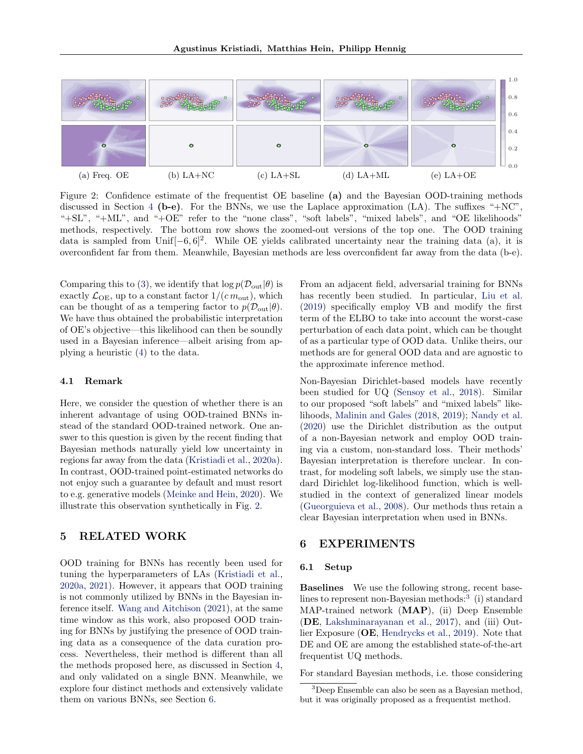<span id="page-4-1"></span>

Figure 2: Confidence estimate of the frequentist OE baseline (a) and the Bayesian OOD-training methods discussed in Section [4](#page-2-3) (b-e). For the BNNs, we use the Laplace approximation  $(LA)$ . The suffixes "+NC", "+SL", "+ML", and "+OE" refer to the "none class", "soft labels", "mixed labels", and "OE likelihoods" methods, respectively. The bottom row shows the zoomed-out versions of the top one. The OOD training data is sampled from Unif $[-6, 6]^2$ . While OE yields calibrated uncertainty near the training data (a), it is overconfident far from them. Meanwhile, Bayesian methods are less overconfident far away from the data (b-e).

Comparing this to [\(3\)](#page-3-0), we identify that  $\log p(\mathcal{D}_{\text{out}}|\theta)$  is exactly  $\mathcal{L}_{\text{OE}}$ , up to a constant factor  $1/(cm_{\text{out}})$ , which can be thought of as a tempering factor to  $p(\mathcal{D}_{\text{out}}|\theta)$ . We have thus obtained the probabilistic interpretation of OE's objective—this likelihood can then be soundly used in a Bayesian inference—albeit arising from applying a heuristic [\(4\)](#page-3-1) to the data.

#### 4.1 Remark

Here, we consider the question of whether there is an inherent advantage of using OOD-trained BNNs instead of the standard OOD-trained network. One answer to this question is given by the recent finding that Bayesian methods naturally yield low uncertainty in regions far away from the data [\(Kristiadi et al.,](#page-9-8) [2020a\)](#page-9-8). In contrast, OOD-trained point-estimated networks do not enjoy such a guarantee by default and must resort to e.g. generative models [\(Meinke and Hein,](#page-9-5) [2020\)](#page-9-5). We illustrate this observation synthetically in Fig. [2.](#page-4-1)

## 5 RELATED WORK

OOD training for BNNs has recently been used for tuning the hyperparameters of LAs [\(Kristiadi et al.,](#page-9-8) [2020a,](#page-9-8) [2021\)](#page-9-21). However, it appears that OOD training is not commonly utilized by BNNs in the Bayesian inference itself. [Wang and Aitchison](#page-9-15) [\(2021\)](#page-9-15), at the same time window as this work, also proposed OOD training for BNNs by justifying the presence of OOD training data as a consequence of the data curation process. Nevertheless, their method is different than all the methods proposed here, as discussed in Section [4,](#page-2-3) and only validated on a single BNN. Meanwhile, we explore four distinct methods and extensively validate them on various BNNs, see Section [6.](#page-4-0)

From an adjacent field, adversarial training for BNNs has recently been studied. In particular, [Liu et al.](#page-9-22) [\(2019\)](#page-9-22) specifically employ VB and modify the first term of the ELBO to take into account the worst-case perturbation of each data point, which can be thought of as a particular type of OOD data. Unlike theirs, our methods are for general OOD data and are agnostic to the approximate inference method.

Non-Bayesian Dirichlet-based models have recently been studied for UQ [\(Sensoy et al.,](#page-9-23) [2018\)](#page-9-23). Similar to our proposed "soft labels" and "mixed labels" likelihoods, [Malinin and Gales](#page-9-19) [\(2018,](#page-9-19) [2019\)](#page-9-24); [Nandy et al.](#page-9-25) [\(2020\)](#page-9-25) use the Dirichlet distribution as the output of a non-Bayesian network and employ OOD training via a custom, non-standard loss. Their methods' Bayesian interpretation is therefore unclear. In contrast, for modeling soft labels, we simply use the standard Dirichlet log-likelihood function, which is wellstudied in the context of generalized linear models [\(Gueorguieva et al.,](#page-8-9) [2008\)](#page-8-9). Our methods thus retain a clear Bayesian interpretation when used in BNNs.

### <span id="page-4-0"></span>6 EXPERIMENTS

#### 6.1 Setup

Baselines We use the following strong, recent base-lines to represent non-Bayesian methods:<sup>[3](#page-4-2)</sup> (i) standard MAP-trained network (MAP), (ii) Deep Ensemble (DE, [Lakshminarayanan et al.,](#page-9-6) [2017\)](#page-9-6), and (iii) Outlier Exposure (OE, [Hendrycks et al.,](#page-8-2) [2019\)](#page-8-2). Note that DE and OE are among the established state-of-the-art frequentist UQ methods.

For standard Bayesian methods, i.e. those considering

<span id="page-4-2"></span><sup>3</sup>Deep Ensemble can also be seen as a Bayesian method, but it was originally proposed as a frequentist method.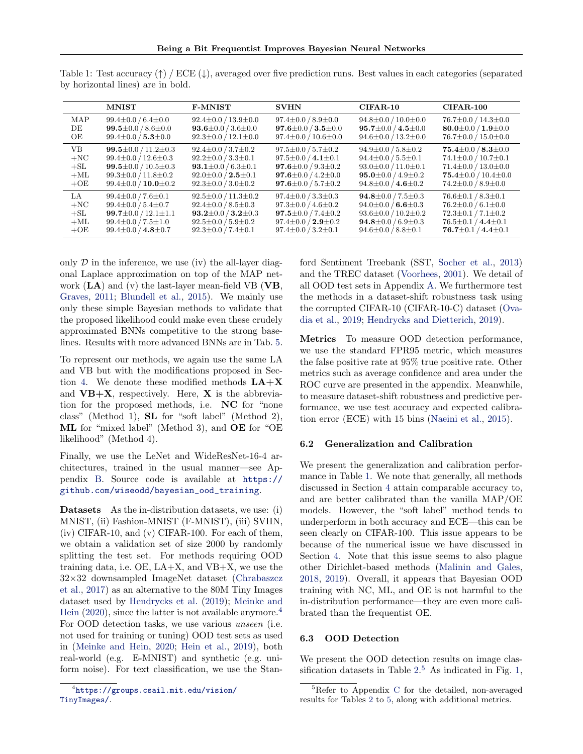|        | <b>MNIST</b>                    | <b>F-MNIST</b>                 | <b>SVHN</b>                    | $CIFAR-10$                     | $CIFAR-100$                    |
|--------|---------------------------------|--------------------------------|--------------------------------|--------------------------------|--------------------------------|
| MAP    | $99.4 \pm 0.0 / 6.4 \pm 0.0$    | $92.4 \pm 0.0 / 13.9 \pm 0.0$  | $97.4 \pm 0.0 / 8.9 \pm 0.0$   | $94.8 \pm 0.0 / 10.0 \pm 0.0$  | $76.7 \pm 0.0 / 14.3 \pm 0.0$  |
| DE     | 99.5 $\pm$ 0.0 / 8.6 $\pm$ 0.0  | 93.6 $\pm$ 0.0 / 3.6 $\pm$ 0.0 | $97.6 \pm 0.0 / 3.5 \pm 0.0$   | $95.7 \pm 0.0 / 4.5 \pm 0.0$   | 80.0 $\pm$ 0.0 / 1.9 $\pm$ 0.0 |
| OЕ     | $99.4 \pm 0.0 / 5.3 \pm 0.0$    | $92.3 \pm 0.0 / 12.1 \pm 0.0$  | $97.4 \pm 0.0 / 10.6 \pm 0.0$  | $94.6 \pm 0.0 / 13.2 \pm 0.0$  | $76.7 \pm 0.0 / 15.0 \pm 0.0$  |
| VВ     | 99.5 $\pm$ 0.0 / 11.2 $\pm$ 0.3 | $92.4 \pm 0.0 / 3.7 \pm 0.2$   | $97.5 \pm 0.0 / 5.7 \pm 0.2$   | $94.9 \pm 0.0$ / $5.8 \pm 0.2$ | $75.4 \pm 0.0 / 8.3 \pm 0.0$   |
| $+NC$  | $99.4 \pm 0.0 / 12.6 \pm 0.3$   | $92.2 \pm 0.0 / 3.3 \pm 0.1$   | $97.5 \pm 0.0 / 4.1 \pm 0.1$   | $94.4 \pm 0.0 / 5.5 \pm 0.1$   | $74.1 \pm 0.0 / 10.7 \pm 0.1$  |
| $+SL$  | 99.5 $\pm$ 0.0 / 10.5 $\pm$ 0.3 | 93.1 $\pm$ 0.0 / 6.3 $\pm$ 0.1 | 97.6 $\pm$ 0.0 / 9.3 $\pm$ 0.2 | $93.0 \pm 0.0 / 11.0 \pm 0.1$  | $71.4 \pm 0.0 / 13.0 \pm 0.0$  |
| $+ML$  | $99.3 \pm 0.0 / 11.8 \pm 0.2$   | $92.0 \pm 0.0 / 2.5 \pm 0.1$   | $97.6 \pm 0.0 / 4.2 \pm 0.0$   | $95.0 \pm 0.0 / 4.9 \pm 0.2$   | $75.4 \pm 0.0 / 10.4 \pm 0.0$  |
| $+OE$  | $99.4 \pm 0.0 / 10.0 \pm 0.2$   | $92.3 \pm 0.0 / 3.0 \pm 0.2$   | $97.6 \pm 0.0 / 5.7 \pm 0.2$   | $94.8 \pm 0.0 / 4.6 \pm 0.2$   | $74.2 \pm 0.0 / 8.9 \pm 0.0$   |
| LA –   | $99.4 \pm 0.0 / 7.6 \pm 0.1$    | $92.5 \pm 0.0 / 11.3 \pm 0.2$  | $97.4 \pm 0.0 / 3.3 \pm 0.3$   | $94.8 \pm 0.0 / 7.5 \pm 0.3$   | $76.6 \pm 0.1 / 8.3 \pm 0.1$   |
| $+NC$  | $99.4 \pm 0.0 / 5.4 \pm 0.7$    | $92.4 \pm 0.0 / 8.5 \pm 0.3$   | $97.3 \pm 0.0 / 4.6 \pm 0.2$   | $94.0 \pm 0.0 / 6.6 \pm 0.3$   | $76.2 \pm 0.0 / 6.1 \pm 0.0$   |
| $+$ SL | $99.7 \pm 0.0 / 12.1 \pm 1.1$   | $93.2 \pm 0.0 / 3.2 \pm 0.3$   | $97.5 \pm 0.0 / 7.4 \pm 0.2$   | $93.6 \pm 0.0 / 10.2 \pm 0.2$  | $72.3 \pm 0.1 / 7.1 \pm 0.2$   |
| $+ML$  | $99.4 \pm 0.0 / 7.5 \pm 1.0$    | $92.5 \pm 0.0 / 5.9 \pm 0.2$   | $97.4 \pm 0.0 / 2.9 \pm 0.2$   | $94.8 \pm 0.0 / 6.9 \pm 0.3$   | $76.5 \pm 0.1 / 4.4 \pm 0.1$   |
| $+OE$  | $99.4 \pm 0.0 / 4.8 \pm 0.7$    | $92.3 \pm 0.0 / 7.4 \pm 0.1$   | $97.4 \pm 0.0 / 3.2 \pm 0.1$   | $94.6 \pm 0.0 / 8.8 \pm 0.1$   | $76.7 \pm 0.1 / 4.4 \pm 0.1$   |

<span id="page-5-1"></span>Table 1: Test accuracy  $(\uparrow)$  / ECE  $(\downarrow)$ , averaged over five prediction runs. Best values in each categories (separated by horizontal lines) are in bold.

only  $\mathcal D$  in the inference, we use (iv) the all-layer diagonal Laplace approximation on top of the MAP network  $(LA)$  and  $(v)$  the last-layer mean-field VB  $(VB,$ [Graves,](#page-8-6) [2011;](#page-8-6) [Blundell et al.,](#page-8-7) [2015\)](#page-8-7). We mainly use only these simple Bayesian methods to validate that the proposed likelihood could make even these crudely approximated BNNs competitive to the strong baselines. Results with more advanced BNNs are in Tab. [5.](#page-7-0)

To represent our methods, we again use the same LA and VB but with the modifications proposed in Sec-tion [4.](#page-2-3) We denote these modified methods  $LA+X$ and  $VB+X$ , respectively. Here, X is the abbreviation for the proposed methods, i.e. NC for "none class" (Method 1), SL for "soft label" (Method 2), ML for "mixed label" (Method 3), and OE for "OE likelihood" (Method 4).

Finally, we use the LeNet and WideResNet-16-4 architectures, trained in the usual manner—see Appendix [B.](#page-11-0) Source code is available at [https://](https://github.com/wiseodd/bayesian_ood_training) [github.com/wiseodd/bayesian\\_ood\\_training](https://github.com/wiseodd/bayesian_ood_training).

Datasets As the in-distribution datasets, we use: (i) MNIST, (ii) Fashion-MNIST (F-MNIST), (iii) SVHN, (iv) CIFAR-10, and (v) CIFAR-100. For each of them, we obtain a validation set of size 2000 by randomly splitting the test set. For methods requiring OOD training data, i.e.  $OE$ ,  $LA+X$ , and  $VB+X$ , we use the 32×32 downsampled ImageNet dataset [\(Chrabaszcz](#page-8-10) [et al.,](#page-8-10) [2017\)](#page-8-10) as an alternative to the 80M Tiny Images dataset used by [Hendrycks et al.](#page-8-2) [\(2019\)](#page-8-2); [Meinke and](#page-9-5) [Hein](#page-9-5)  $(2020)$ , since the latter is not available anymore.<sup>[4](#page-5-0)</sup> For OOD detection tasks, we use various unseen (i.e. not used for training or tuning) OOD test sets as used in [\(Meinke and Hein,](#page-9-5) [2020;](#page-9-5) [Hein et al.,](#page-8-3) [2019\)](#page-8-3), both real-world (e.g. E-MNIST) and synthetic (e.g. uniform noise). For text classification, we use the Stanford Sentiment Treebank (SST, [Socher et al.,](#page-9-26) [2013\)](#page-9-26) and the TREC dataset [\(Voorhees,](#page-9-27) [2001\)](#page-9-27). We detail of all OOD test sets in Appendix [A.](#page-11-1) We furthermore test the methods in a dataset-shift robustness task using the corrupted CIFAR-10 (CIFAR-10-C) dataset [\(Ova](#page-9-7)[dia et al.,](#page-9-7) [2019;](#page-9-7) [Hendrycks and Dietterich,](#page-8-11) [2019\)](#page-8-11).

Metrics To measure OOD detection performance, we use the standard FPR95 metric, which measures the false positive rate at 95% true positive rate. Other metrics such as average confidence and area under the ROC curve are presented in the appendix. Meanwhile, to measure dataset-shift robustness and predictive performance, we use test accuracy and expected calibration error (ECE) with 15 bins [\(Naeini et al.,](#page-9-28) [2015\)](#page-9-28).

#### 6.2 Generalization and Calibration

We present the generalization and calibration performance in Table [1.](#page-5-1) We note that generally, all methods discussed in Section [4](#page-2-3) attain comparable accuracy to, and are better calibrated than the vanilla MAP/OE models. However, the "soft label" method tends to underperform in both accuracy and ECE—this can be seen clearly on CIFAR-100. This issue appears to be because of the numerical issue we have discussed in Section [4.](#page-2-3) Note that this issue seems to also plague other Dirichlet-based methods [\(Malinin and Gales,](#page-9-19) [2018,](#page-9-19) [2019\)](#page-9-24). Overall, it appears that Bayesian OOD training with NC, ML, and OE is not harmful to the in-distribution performance—they are even more calibrated than the frequentist OE.

#### 6.3 OOD Detection

We present the OOD detection results on image classification datasets in Table  $2<sup>5</sup>$  $2<sup>5</sup>$  $2<sup>5</sup>$  As indicated in Fig. [1,](#page-0-0)

<span id="page-5-0"></span><sup>4</sup> [https://groups.csail.mit.edu/vision/](https://groups.csail.mit.edu/vision/TinyImages/) [TinyImages/](https://groups.csail.mit.edu/vision/TinyImages/).

<span id="page-5-2"></span><sup>&</sup>lt;sup>5</sup>Refer to Appendix [C](#page-12-0) for the detailed, non-averaged results for Tables [2](#page-6-0) to [5,](#page-7-0) along with additional metrics.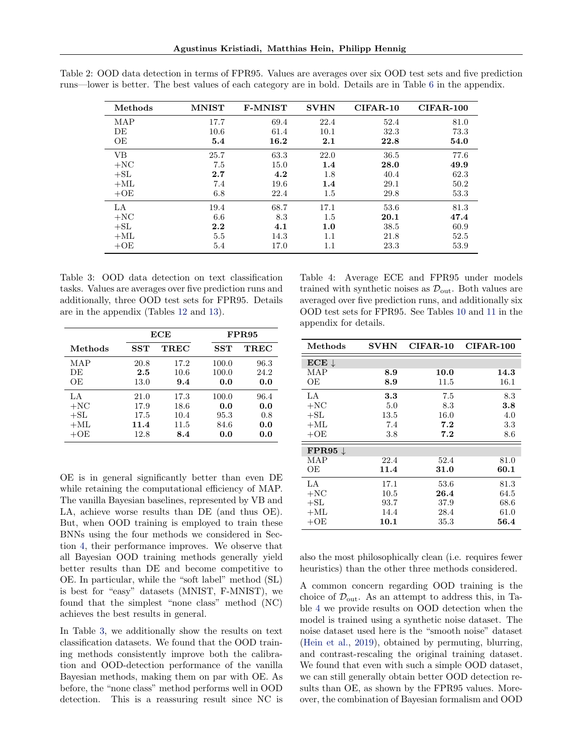| Methods   | <b>MNIST</b> | <b>F-MNIST</b> | <b>SVHN</b> | $CIFAR-10$ | $CIFAR-100$ |
|-----------|--------------|----------------|-------------|------------|-------------|
| MAP       | 17.7         | 69.4           | 22.4        | 52.4       | 81.0        |
| DE        | 10.6         | 61.4           | 10.1        | 32.3       | 73.3        |
| ΟE        | 5.4          | 16.2           | 2.1         | 22.8       | 54.0        |
| <b>VB</b> | 25.7         | 63.3           | 22.0        | 36.5       | 77.6        |
| $+NC$     | 7.5          | 15.0           | 1.4         | 28.0       | 49.9        |
| $+SL$     | 2.7          | 4.2            | 1.8         | 40.4       | 62.3        |
| $+ML$     | 7.4          | 19.6           | 1.4         | 29.1       | 50.2        |
| $+OE$     | 6.8          | 22.4           | 1.5         | 29.8       | 53.3        |
| LA        | 19.4         | 68.7           | 17.1        | 53.6       | 81.3        |
| $+NC$     | 6.6          | 8.3            | 1.5         | 20.1       | 47.4        |
| $+SL$     | 2.2          | 4.1            | 1.0         | 38.5       | 60.9        |
| $+ML$     | 5.5          | 14.3           | $1.1\,$     | 21.8       | 52.5        |
| $+OE$     | 5.4          | 17.0           | $1.1\,$     | 23.3       | 53.9        |

<span id="page-6-0"></span>Table 2: OOD data detection in terms of FPR95. Values are averages over six OOD test sets and five prediction runs—lower is better. The best values of each category are in bold. Details are in Table [6](#page-12-1) in the appendix.

<span id="page-6-1"></span>Table 3: OOD data detection on text classification tasks. Values are averages over five prediction runs and additionally, three OOD test sets for FPR95. Details are in the appendix (Tables [12](#page-15-0) and [13\)](#page-15-1).

|         |         | ECE  |       | FPR95 |  |
|---------|---------|------|-------|-------|--|
| Methods | SST     | TREC | SST   | TREC  |  |
| MAP     | 20.8    | 17.2 | 100.0 | 96.3  |  |
| DE      | $2.5\,$ | 10.6 | 100.0 | 24.2  |  |
| OE      | 13.0    | 9.4  | 0.0   | 0.0   |  |
| LA      | 21.0    | 17.3 | 100.0 | 96.4  |  |
| $+NC$   | 17.9    | 18.6 | 0.0   | 0.0   |  |
| $+SL$   | 17.5    | 10.4 | 95.3  | 0.8   |  |
| $+ML$   | 11.4    | 11.5 | 84.6  | 0.0   |  |
| $+OE$   | 12.8    | 8.4  | 0.0   | 0.0   |  |

OE is in general significantly better than even DE while retaining the computational efficiency of MAP. The vanilla Bayesian baselines, represented by VB and LA, achieve worse results than DE (and thus OE). But, when OOD training is employed to train these BNNs using the four methods we considered in Section [4,](#page-2-3) their performance improves. We observe that all Bayesian OOD training methods generally yield better results than DE and become competitive to OE. In particular, while the "soft label" method (SL) is best for "easy" datasets (MNIST, F-MNIST), we found that the simplest "none class" method (NC) achieves the best results in general.

In Table [3,](#page-6-1) we additionally show the results on text classification datasets. We found that the OOD training methods consistently improve both the calibration and OOD-detection performance of the vanilla Bayesian methods, making them on par with OE. As before, the "none class" method performs well in OOD detection. This is a reassuring result since NC is

<span id="page-6-2"></span>Table 4: Average ECE and FPR95 under models trained with synthetic noises as  $\mathcal{D}_{\text{out}}$ . Both values are averaged over five prediction runs, and additionally six OOD test sets for FPR95. See Tables [10](#page-14-0) and [11](#page-15-2) in the appendix for details.

| Methods                              | <b>SVHN</b> | $CIFAR-10$ | $CIFAR-100$ |
|--------------------------------------|-------------|------------|-------------|
| $\operatorname{ECE}$<br>$\downarrow$ |             |            |             |
| MAP                                  | 8.9         | 10.0       | 14.3        |
| ОE                                   | 8.9         | 11.5       | 16.1        |
| LA                                   | 3.3         | 7.5        | 8.3         |
| $+NC$                                | 5.0         | 8.3        | 3.8         |
| $+{\rm SL}$                          | 13.5        | 16.0       | 4.0         |
| $+ML$                                | 7.4         | 7.2        | $3.3\,$     |
| $+OE$                                | $3.8\,$     | 7.2        | 8.6         |
| $\textbf{FPR95} \downarrow$          |             |            |             |
| MAP                                  | 22.4        | 52.4       | 81.0        |
| OЕ                                   | 11.4        | 31.0       | 60.1        |
| LA                                   | 17.1        | 53.6       | 81.3        |
| $+NC$                                | 10.5        | 26.4       | 64.5        |
| $+{\rm SL}$                          | 93.7        | 37.9       | 68.6        |
| $+ML$                                | 14.4        | 28.4       | 61.0        |
| $+OE$                                | 10.1        | 35.3       | 56.4        |

also the most philosophically clean (i.e. requires fewer heuristics) than the other three methods considered.

A common concern regarding OOD training is the choice of  $\mathcal{D}_{\text{out}}$ . As an attempt to address this, in Table [4](#page-6-2) we provide results on OOD detection when the model is trained using a synthetic noise dataset. The noise dataset used here is the "smooth noise" dataset [\(Hein et al.,](#page-8-3) [2019\)](#page-8-3), obtained by permuting, blurring, and contrast-rescaling the original training dataset. We found that even with such a simple OOD dataset, we can still generally obtain better OOD detection results than OE, as shown by the FPR95 values. Moreover, the combination of Bayesian formalism and OOD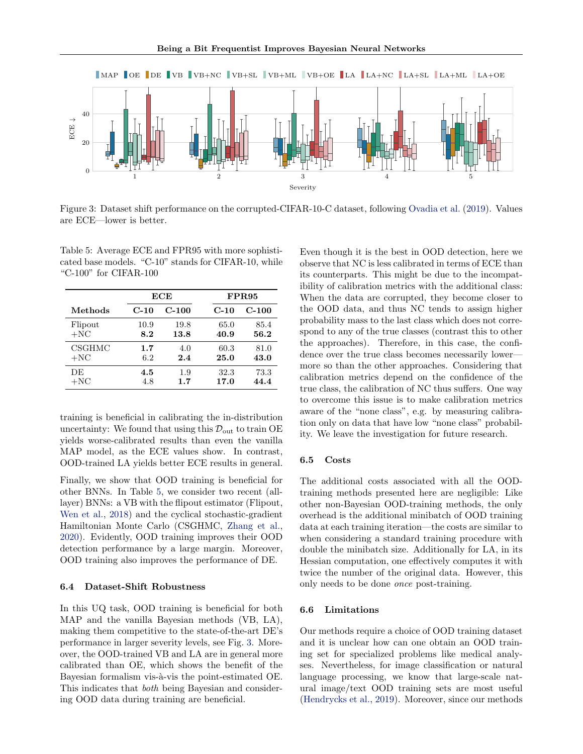<span id="page-7-1"></span>

Figure 3: Dataset shift performance on the corrupted-CIFAR-10-C dataset, following [Ovadia et al.](#page-9-7) [\(2019\)](#page-9-7). Values are ECE—lower is better.

<span id="page-7-0"></span>Table 5: Average ECE and FPR95 with more sophisticated base models. "C-10" stands for CIFAR-10, while "C-100" for CIFAR-100

|         |        | ECE     |        | <b>FPR95</b> |
|---------|--------|---------|--------|--------------|
| Methods | $C-10$ | $C-100$ | $C-10$ | $C-100$      |
| Flipout | 10.9   | 19.8    | 65.0   | 85.4         |
| $+NC$   | 8.2    | 13.8    | 40.9   | 56.2         |
| CSGHMC  | 1.7    | 4.0     | 60.3   | 81.0         |
| $+NC$   | 6.2    | 2.4     | 25.0   | 43.0         |
| DE      | 4.5    | 1.9     | 32.3   | 73.3         |
| $+NC$   | 4.8    | 1.7     | 17.0   | 44.4         |

training is beneficial in calibrating the in-distribution uncertainty: We found that using this  $\mathcal{D}_{\text{out}}$  to train OE yields worse-calibrated results than even the vanilla MAP model, as the ECE values show. In contrast, OOD-trained LA yields better ECE results in general.

Finally, we show that OOD training is beneficial for other BNNs. In Table [5,](#page-7-0) we consider two recent (alllayer) BNNs: a VB with the flipout estimator (Flipout, [Wen et al.,](#page-9-29) [2018\)](#page-9-29) and the cyclical stochastic-gradient Hamiltonian Monte Carlo (CSGHMC, [Zhang et al.,](#page-10-1) [2020\)](#page-10-1). Evidently, OOD training improves their OOD detection performance by a large margin. Moreover, OOD training also improves the performance of DE.

#### 6.4 Dataset-Shift Robustness

In this UQ task, OOD training is beneficial for both MAP and the vanilla Bayesian methods (VB, LA), making them competitive to the state-of-the-art DE's performance in larger severity levels, see Fig. [3.](#page-7-1) Moreover, the OOD-trained VB and LA are in general more calibrated than OE, which shows the benefit of the Bayesian formalism vis-à-vis the point-estimated OE. This indicates that both being Bayesian and considering OOD data during training are beneficial.

Even though it is the best in OOD detection, here we observe that NC is less calibrated in terms of ECE than its counterparts. This might be due to the incompatibility of calibration metrics with the additional class: When the data are corrupted, they become closer to the OOD data, and thus NC tends to assign higher probability mass to the last class which does not correspond to any of the true classes (contrast this to other the approaches). Therefore, in this case, the confidence over the true class becomes necessarily lower more so than the other approaches. Considering that calibration metrics depend on the confidence of the true class, the calibration of NC thus suffers. One way to overcome this issue is to make calibration metrics aware of the "none class", e.g. by measuring calibration only on data that have low "none class" probability. We leave the investigation for future research.

#### 6.5 Costs

The additional costs associated with all the OODtraining methods presented here are negligible: Like other non-Bayesian OOD-training methods, the only overhead is the additional minibatch of OOD training data at each training iteration—the costs are similar to when considering a standard training procedure with double the minibatch size. Additionally for LA, in its Hessian computation, one effectively computes it with twice the number of the original data. However, this only needs to be done once post-training.

#### 6.6 Limitations

Our methods require a choice of OOD training dataset and it is unclear how can one obtain an OOD training set for specialized problems like medical analyses. Nevertheless, for image classification or natural language processing, we know that large-scale natural image/text OOD training sets are most useful [\(Hendrycks et al.,](#page-8-2) [2019\)](#page-8-2). Moreover, since our methods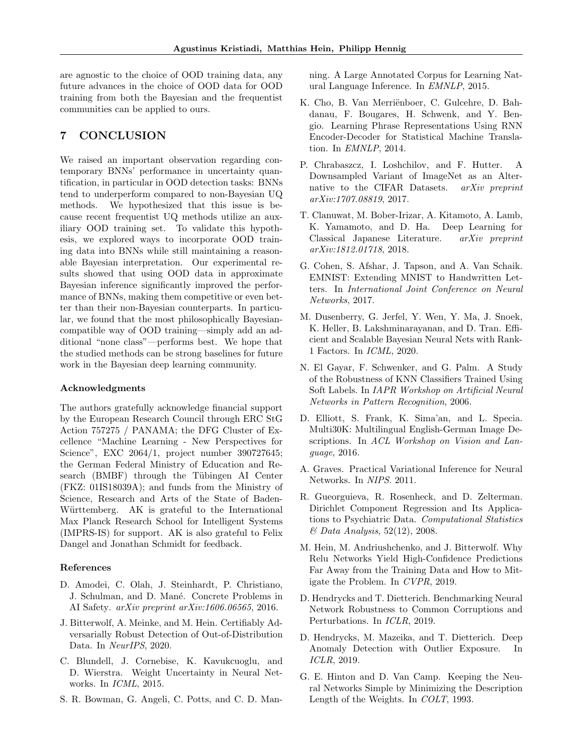are agnostic to the choice of OOD training data, any future advances in the choice of OOD data for OOD training from both the Bayesian and the frequentist communities can be applied to ours.

# 7 CONCLUSION

We raised an important observation regarding contemporary BNNs' performance in uncertainty quantification, in particular in OOD detection tasks: BNNs tend to underperform compared to non-Bayesian UQ methods. We hypothesized that this issue is because recent frequentist UQ methods utilize an auxiliary OOD training set. To validate this hypothesis, we explored ways to incorporate OOD training data into BNNs while still maintaining a reasonable Bayesian interpretation. Our experimental results showed that using OOD data in approximate Bayesian inference significantly improved the performance of BNNs, making them competitive or even better than their non-Bayesian counterparts. In particular, we found that the most philosophically Bayesiancompatible way of OOD training—simply add an additional "none class"—performs best. We hope that the studied methods can be strong baselines for future work in the Bayesian deep learning community.

#### Acknowledgments

The authors gratefully acknowledge financial support by the European Research Council through ERC StG Action 757275 / PANAMA; the DFG Cluster of Excellence "Machine Learning - New Perspectives for Science", EXC 2064/1, project number 390727645; the German Federal Ministry of Education and Research (BMBF) through the Tübingen AI Center (FKZ: 01IS18039A); and funds from the Ministry of Science, Research and Arts of the State of Baden-Württemberg. AK is grateful to the International Max Planck Research School for Intelligent Systems (IMPRS-IS) for support. AK is also grateful to Felix Dangel and Jonathan Schmidt for feedback.

#### References

- <span id="page-8-0"></span>D. Amodei, C. Olah, J. Steinhardt, P. Christiano, J. Schulman, and D. Mané. Concrete Problems in AI Safety. arXiv preprint arXiv:1606.06565, 2016.
- <span id="page-8-4"></span>J. Bitterwolf, A. Meinke, and M. Hein. Certifiably Adversarially Robust Detection of Out-of-Distribution Data. In NeurIPS, 2020.
- <span id="page-8-7"></span>C. Blundell, J. Cornebise, K. Kavukcuoglu, and D. Wierstra. Weight Uncertainty in Neural Networks. In ICML, 2015.
- <span id="page-8-15"></span>S. R. Bowman, G. Angeli, C. Potts, and C. D. Man-

ning. A Large Annotated Corpus for Learning Natural Language Inference. In EMNLP, 2015.

- <span id="page-8-16"></span>K. Cho, B. Van Merriënboer, C. Gulcehre, D. Bahdanau, F. Bougares, H. Schwenk, and Y. Bengio. Learning Phrase Representations Using RNN Encoder-Decoder for Statistical Machine Translation. In EMNLP, 2014.
- <span id="page-8-10"></span>P. Chrabaszcz, I. Loshchilov, and F. Hutter. A Downsampled Variant of ImageNet as an Alternative to the CIFAR Datasets. arXiv preprint arXiv:1707.08819, 2017.
- <span id="page-8-13"></span>T. Clanuwat, M. Bober-Irizar, A. Kitamoto, A. Lamb, K. Yamamoto, and D. Ha. Deep Learning for Classical Japanese Literature. arXiv preprint arXiv:1812.01718, 2018.
- <span id="page-8-12"></span>G. Cohen, S. Afshar, J. Tapson, and A. Van Schaik. EMNIST: Extending MNIST to Handwritten Letters. In International Joint Conference on Neural Networks, 2017.
- <span id="page-8-1"></span>M. Dusenberry, G. Jerfel, Y. Wen, Y. Ma, J. Snoek, K. Heller, B. Lakshminarayanan, and D. Tran. Efficient and Scalable Bayesian Neural Nets with Rank-1 Factors. In ICML, 2020.
- <span id="page-8-8"></span>N. El Gayar, F. Schwenker, and G. Palm. A Study of the Robustness of KNN Classifiers Trained Using Soft Labels. In IAPR Workshop on Artificial Neural Networks in Pattern Recognition, 2006.
- <span id="page-8-14"></span>D. Elliott, S. Frank, K. Sima'an, and L. Specia. Multi30K: Multilingual English-German Image Descriptions. In ACL Workshop on Vision and Language, 2016.
- <span id="page-8-6"></span>A. Graves. Practical Variational Inference for Neural Networks. In NIPS. 2011.
- <span id="page-8-9"></span>R. Gueorguieva, R. Rosenheck, and D. Zelterman. Dirichlet Component Regression and Its Applications to Psychiatric Data. Computational Statistics & Data Analysis, 52(12), 2008.
- <span id="page-8-3"></span>M. Hein, M. Andriushchenko, and J. Bitterwolf. Why Relu Networks Yield High-Confidence Predictions Far Away from the Training Data and How to Mitigate the Problem. In CVPR, 2019.
- <span id="page-8-11"></span>D. Hendrycks and T. Dietterich. Benchmarking Neural Network Robustness to Common Corruptions and Perturbations. In ICLR, 2019.
- <span id="page-8-2"></span>D. Hendrycks, M. Mazeika, and T. Dietterich. Deep Anomaly Detection with Outlier Exposure. In ICLR, 2019.
- <span id="page-8-5"></span>G. E. Hinton and D. Van Camp. Keeping the Neural Networks Simple by Minimizing the Description Length of the Weights. In COLT, 1993.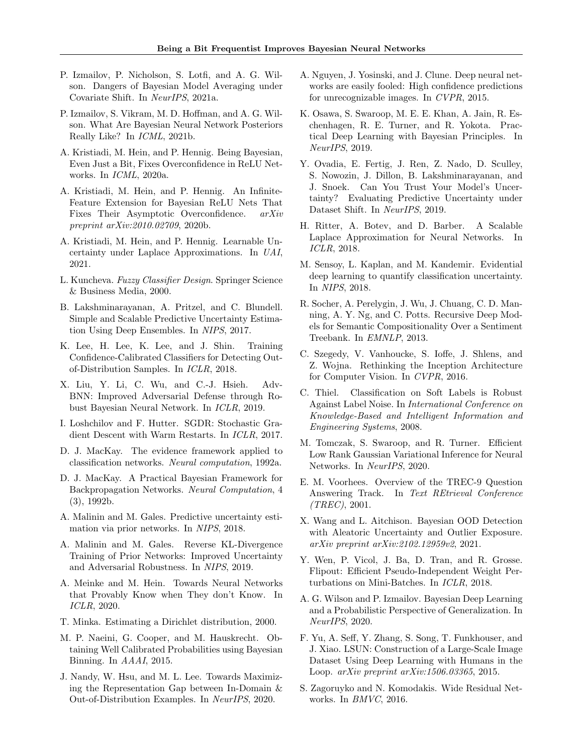- <span id="page-9-2"></span>P. Izmailov, P. Nicholson, S. Lotfi, and A. G. Wilson. Dangers of Bayesian Model Averaging under Covariate Shift. In NeurIPS, 2021a.
- <span id="page-9-3"></span>P. Izmailov, S. Vikram, M. D. Hoffman, and A. G. Wilson. What Are Bayesian Neural Network Posteriors Really Like? In ICML, 2021b.
- <span id="page-9-8"></span>A. Kristiadi, M. Hein, and P. Hennig. Being Bayesian, Even Just a Bit, Fixes Overconfidence in ReLU Networks. In ICML, 2020a.
- <span id="page-9-14"></span>A. Kristiadi, M. Hein, and P. Hennig. An Infinite-Feature Extension for Bayesian ReLU Nets That Fixes Their Asymptotic Overconfidence. arXiv preprint arXiv:2010.02709, 2020b.
- <span id="page-9-21"></span>A. Kristiadi, M. Hein, and P. Hennig. Learnable Uncertainty under Laplace Approximations. In UAI, 2021.
- <span id="page-9-17"></span>L. Kuncheva. Fuzzy Classifier Design. Springer Science & Business Media, 2000.
- <span id="page-9-6"></span>B. Lakshminarayanan, A. Pritzel, and C. Blundell. Simple and Scalable Predictive Uncertainty Estimation Using Deep Ensembles. In NIPS, 2017.
- <span id="page-9-4"></span>K. Lee, H. Lee, K. Lee, and J. Shin. Training Confidence-Calibrated Classifiers for Detecting Outof-Distribution Samples. In ICLR, 2018.
- <span id="page-9-22"></span>X. Liu, Y. Li, C. Wu, and C.-J. Hsieh. Adv-BNN: Improved Adversarial Defense through Robust Bayesian Neural Network. In ICLR, 2019.
- <span id="page-9-32"></span>I. Loshchilov and F. Hutter. SGDR: Stochastic Gradient Descent with Warm Restarts. In ICLR, 2017.
- <span id="page-9-10"></span>D. J. MacKay. The evidence framework applied to classification networks. Neural computation, 1992a.
- <span id="page-9-12"></span>D. J. MacKay. A Practical Bayesian Framework for Backpropagation Networks. Neural Computation, 4 (3), 1992b.
- <span id="page-9-19"></span>A. Malinin and M. Gales. Predictive uncertainty estimation via prior networks. In NIPS, 2018.
- <span id="page-9-24"></span>A. Malinin and M. Gales. Reverse KL-Divergence Training of Prior Networks: Improved Uncertainty and Adversarial Robustness. In NIPS, 2019.
- <span id="page-9-5"></span>A. Meinke and M. Hein. Towards Neural Networks that Provably Know when They don't Know. In ICLR, 2020.
- <span id="page-9-18"></span>T. Minka. Estimating a Dirichlet distribution, 2000.
- <span id="page-9-28"></span>M. P. Naeini, G. Cooper, and M. Hauskrecht. Obtaining Well Calibrated Probabilities using Bayesian Binning. In AAAI, 2015.
- <span id="page-9-25"></span>J. Nandy, W. Hsu, and M. L. Lee. Towards Maximizing the Representation Gap between In-Domain & Out-of-Distribution Examples. In NeurIPS, 2020.
- <span id="page-9-9"></span>A. Nguyen, J. Yosinski, and J. Clune. Deep neural networks are easily fooled: High confidence predictions for unrecognizable images. In CVPR, 2015.
- <span id="page-9-0"></span>K. Osawa, S. Swaroop, M. E. E. Khan, A. Jain, R. Eschenhagen, R. E. Turner, and R. Yokota. Practical Deep Learning with Bayesian Principles. In NeurIPS, 2019.
- <span id="page-9-7"></span>Y. Ovadia, E. Fertig, J. Ren, Z. Nado, D. Sculley, S. Nowozin, J. Dillon, B. Lakshminarayanan, and J. Snoek. Can You Trust Your Model's Uncertainty? Evaluating Predictive Uncertainty under Dataset Shift. In NeurIPS, 2019.
- <span id="page-9-13"></span>H. Ritter, A. Botev, and D. Barber. A Scalable Laplace Approximation for Neural Networks. In ICLR, 2018.
- <span id="page-9-23"></span>M. Sensoy, L. Kaplan, and M. Kandemir. Evidential deep learning to quantify classification uncertainty. In NIPS, 2018.
- <span id="page-9-26"></span>R. Socher, A. Perelygin, J. Wu, J. Chuang, C. D. Manning, A. Y. Ng, and C. Potts. Recursive Deep Models for Semantic Compositionality Over a Sentiment Treebank. In EMNLP, 2013.
- <span id="page-9-20"></span>C. Szegedy, V. Vanhoucke, S. Ioffe, J. Shlens, and Z. Wojna. Rethinking the Inception Architecture for Computer Vision. In CVPR, 2016.
- <span id="page-9-16"></span>C. Thiel. Classification on Soft Labels is Robust Against Label Noise. In International Conference on Knowledge-Based and Intelligent Information and Engineering Systems, 2008.
- <span id="page-9-1"></span>M. Tomczak, S. Swaroop, and R. Turner. Efficient Low Rank Gaussian Variational Inference for Neural Networks. In NeurIPS, 2020.
- <span id="page-9-27"></span>E. M. Voorhees. Overview of the TREC-9 Question Answering Track. In Text REtrieval Conference (TREC), 2001.
- <span id="page-9-15"></span>X. Wang and L. Aitchison. Bayesian OOD Detection with Aleatoric Uncertainty and Outlier Exposure. arXiv preprint arXiv:2102.12959v2, 2021.
- <span id="page-9-29"></span>Y. Wen, P. Vicol, J. Ba, D. Tran, and R. Grosse. Flipout: Efficient Pseudo-Independent Weight Perturbations on Mini-Batches. In ICLR, 2018.
- <span id="page-9-11"></span>A. G. Wilson and P. Izmailov. Bayesian Deep Learning and a Probabilistic Perspective of Generalization. In NeurIPS, 2020.
- <span id="page-9-30"></span>F. Yu, A. Seff, Y. Zhang, S. Song, T. Funkhouser, and J. Xiao. LSUN: Construction of a Large-Scale Image Dataset Using Deep Learning with Humans in the Loop. arXiv preprint arXiv:1506.03365, 2015.
- <span id="page-9-31"></span>S. Zagoruyko and N. Komodakis. Wide Residual Networks. In BMVC, 2016.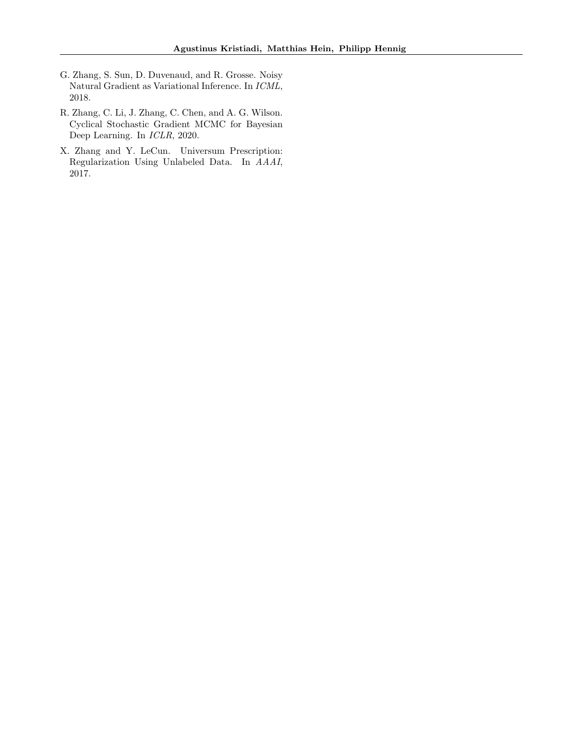- <span id="page-10-2"></span>G. Zhang, S. Sun, D. Duvenaud, and R. Grosse. Noisy Natural Gradient as Variational Inference. In ICML, 2018.
- <span id="page-10-1"></span>R. Zhang, C. Li, J. Zhang, C. Chen, and A. G. Wilson. Cyclical Stochastic Gradient MCMC for Bayesian Deep Learning. In ICLR, 2020.
- <span id="page-10-0"></span>X. Zhang and Y. LeCun. Universum Prescription: Regularization Using Unlabeled Data. In AAAI, 2017.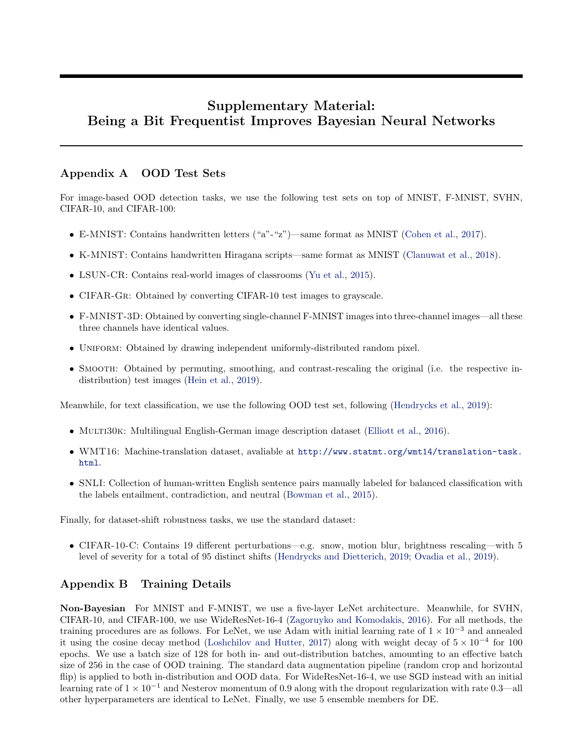# Supplementary Material: Being a Bit Frequentist Improves Bayesian Neural Networks

## <span id="page-11-1"></span>Appendix A OOD Test Sets

For image-based OOD detection tasks, we use the following test sets on top of MNIST, F-MNIST, SVHN, CIFAR-10, and CIFAR-100:

- E-MNIST: Contains handwritten letters ("a"-"z")—same format as MNIST [\(Cohen et al.,](#page-8-12) [2017\)](#page-8-12).
- K-MNIST: Contains handwritten Hiragana scripts—same format as MNIST [\(Clanuwat et al.,](#page-8-13) [2018\)](#page-8-13).
- LSUN-CR: Contains real-world images of classrooms [\(Yu et al.,](#page-9-30) [2015\)](#page-9-30).
- CIFAR-GR: Obtained by converting CIFAR-10 test images to grayscale.
- F-MNIST-3D: Obtained by converting single-channel F-MNIST images into three-channel images—all these three channels have identical values.
- UNIFORM: Obtained by drawing independent uniformly-distributed random pixel.
- SMOOTH: Obtained by permuting, smoothing, and contrast-rescaling the original (i.e. the respective indistribution) test images [\(Hein et al.,](#page-8-3) [2019\)](#page-8-3).

Meanwhile, for text classification, we use the following OOD test set, following [\(Hendrycks et al.,](#page-8-2) [2019\)](#page-8-2):

- MULTI30K: Multilingual English-German image description dataset [\(Elliott et al.,](#page-8-14) [2016\)](#page-8-14).
- WMT16: Machine-translation dataset, avaliable at [http://www.statmt.org/wmt14/translation-task.](http://www.statmt.org/wmt14/translation-task.html) [html](http://www.statmt.org/wmt14/translation-task.html).
- SNLI: Collection of human-written English sentence pairs manually labeled for balanced classification with the labels entailment, contradiction, and neutral [\(Bowman et al.,](#page-8-15) [2015\)](#page-8-15).

Finally, for dataset-shift robustness tasks, we use the standard dataset:

• CIFAR-10-C: Contains 19 different perturbations—e.g. snow, motion blur, brightness rescaling—with 5 level of severity for a total of 95 distinct shifts [\(Hendrycks and Dietterich,](#page-8-11) [2019;](#page-8-11) [Ovadia et al.,](#page-9-7) [2019\)](#page-9-7).

# <span id="page-11-0"></span>Appendix B Training Details

Non-Bayesian For MNIST and F-MNIST, we use a five-layer LeNet architecture. Meanwhile, for SVHN, CIFAR-10, and CIFAR-100, we use WideResNet-16-4 [\(Zagoruyko and Komodakis,](#page-9-31) [2016\)](#page-9-31). For all methods, the training procedures are as follows. For LeNet, we use Adam with initial learning rate of  $1 \times 10^{-3}$  and annealed it using the cosine decay method [\(Loshchilov and Hutter,](#page-9-32) [2017\)](#page-9-32) along with weight decay of  $5 \times 10^{-4}$  for 100 epochs. We use a batch size of 128 for both in- and out-distribution batches, amounting to an effective batch size of 256 in the case of OOD training. The standard data augmentation pipeline (random crop and horizontal flip) is applied to both in-distribution and OOD data. For WideResNet-16-4, we use SGD instead with an initial learning rate of  $1 \times 10^{-1}$  and Nesterov momentum of 0.9 along with the dropout regularization with rate 0.3—all other hyperparameters are identical to LeNet. Finally, we use 5 ensemble members for DE.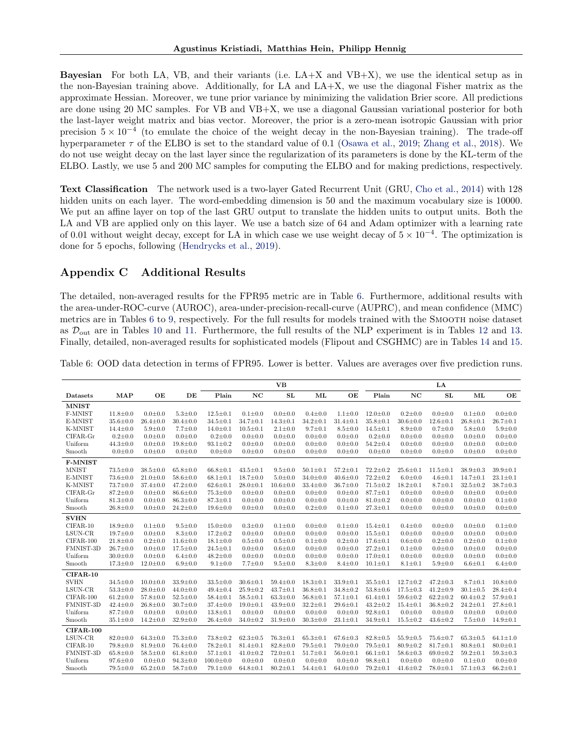**Bayesian** For both LA, VB, and their variants (i.e.  $LA+X$  and  $VB+X$ ), we use the identical setup as in the non-Bayesian training above. Additionally, for LA and LA+X, we use the diagonal Fisher matrix as the approximate Hessian. Moreover, we tune prior variance by minimizing the validation Brier score. All predictions are done using 20 MC samples. For VB and VB+X, we use a diagonal Gaussian variational posterior for both the last-layer weight matrix and bias vector. Moreover, the prior is a zero-mean isotropic Gaussian with prior precision  $5 \times 10^{-4}$  (to emulate the choice of the weight decay in the non-Bayesian training). The trade-off hyperparameter  $\tau$  of the ELBO is set to the standard value of 0.1 [\(Osawa et al.,](#page-9-0) [2019;](#page-9-0) [Zhang et al.,](#page-10-2) [2018\)](#page-10-2). We do not use weight decay on the last layer since the regularization of its parameters is done by the KL-term of the ELBO. Lastly, we use 5 and 200 MC samples for computing the ELBO and for making predictions, respectively.

Text Classification The network used is a two-layer Gated Recurrent Unit (GRU, [Cho et al.,](#page-8-16) [2014\)](#page-8-16) with 128 hidden units on each layer. The word-embedding dimension is 50 and the maximum vocabulary size is 10000. We put an affine layer on top of the last GRU output to translate the hidden units to output units. Both the LA and VB are applied only on this layer. We use a batch size of 64 and Adam optimizer with a learning rate of 0.01 without weight decay, except for LA in which case we use weight decay of  $5 \times 10^{-4}$ . The optimization is done for 5 epochs, following [\(Hendrycks et al.,](#page-8-2) [2019\)](#page-8-2).

# <span id="page-12-0"></span>Appendix C Additional Results

The detailed, non-averaged results for the FPR95 metric are in Table [6.](#page-12-1) Furthermore, additional results with the area-under-ROC-curve (AUROC), area-under-precision-recall-curve (AUPRC), and mean confidence (MMC) metrics are in Tables [6](#page-12-1) to [9,](#page-14-1) respectively. For the full results for models trained with the SMOOTH noise dataset as  $\mathcal{D}_{\text{out}}$  are in Tables [10](#page-14-0) and [11.](#page-15-2) Furthermore, the full results of the NLP experiment is in Tables [12](#page-15-0) and [13.](#page-15-1) Finally, detailed, non-averaged results for sophisticated models (Flipout and CSGHMC) are in Tables [14](#page-16-0) and [15.](#page-16-1)

|                  |                |                |                |                 |                | <b>VB</b>      |                |                |                |                | $L_A$          |                |                |
|------------------|----------------|----------------|----------------|-----------------|----------------|----------------|----------------|----------------|----------------|----------------|----------------|----------------|----------------|
| Datasets         | <b>MAP</b>     | OE             | DE             | Plain           | $_{\rm NC}$    | SL             | ML             | OE             | Plain          | NC             | ${\bf SL}$     | ML             | OE             |
| <b>MNIST</b>     |                |                |                |                 |                |                |                |                |                |                |                |                |                |
| F-MNIST          | $11.8 \pm 0.0$ | $0.0 + 0.0$    | $5.3 \pm 0.0$  | $12.5 \pm 0.1$  | $0.1 \pm 0.0$  | $0.0 \pm 0.0$  | $0.4 \pm 0.0$  | $1.1 \pm 0.0$  | $12.0 \pm 0.0$ | $0.2 \pm 0.0$  | $0.0 + 0.0$    | $0.1 \pm 0.0$  | $0.0 \pm 0.0$  |
| E-MNIST          | $35.6 \pm 0.0$ | $26.4 \pm 0.0$ | $30.4 \pm 0.0$ | $34.5 \pm 0.1$  | $34.7 \pm 0.1$ | $14.3 \pm 0.1$ | $34.2 \pm 0.1$ | $31.4 \pm 0.1$ | $35.8 \pm 0.1$ | $30.6 \pm 0.0$ | $12.6 \pm 0.1$ | $26.8 \pm 0.1$ | $26.7 \pm 0.1$ |
| K-MNIST          | $14.4 \pm 0.0$ | $5.9 \pm 0.0$  | $7.7 \pm 0.0$  | $14.0 \pm 0.1$  | $10.5 \pm 0.1$ | $2.1 \pm 0.0$  | $9.7 \pm 0.1$  | $8.5 \pm 0.0$  | $14.5 \pm 0.1$ | $8.9 \pm 0.0$  | $0.7 \pm 0.0$  | $5.8 \pm 0.0$  | $5.9 \pm 0.0$  |
| CIFAR-Gr         | $0.2 \pm 0.0$  | $0.0 + 0.0$    | $0.0 + 0.0$    | $0.2 \pm 0.0$   | $0.0 + 0.0$    | $0.0 + 0.0$    | $0.0 + 0.0$    | $0.0 + 0.0$    | $0.2 \pm 0.0$  | $0.0 + 0.0$    | $0.0 + 0.0$    | $0.0 + 0.0$    | $0.0 + 0.0$    |
| Uniform          | $44.3 \pm 0.0$ | $0.0 \pm 0.0$  | $19.8 \pm 0.0$ | $93.1 \pm 0.2$  | $0.0 \pm 0.0$  | $0.0 + 0.0$    | $0.0 \pm 0.0$  | $0.0 \pm 0.0$  | $54.2 \pm 0.4$ | $0.0 + 0.0$    | $0.0 \pm 0.0$  | $0.0 \pm 0.0$  | $0.0 \pm 0.0$  |
| Smooth           | $0.0 + 0.0$    | $0.0 + 0.0$    | $0.0 + 0.0$    | $0.0 + 0.0$     | $0.0 + 0.0$    | $0.0 + 0.0$    | $0.0 + 0.0$    | $0.0 + 0.0$    | $0.0 \pm 0.0$  | $0.0 + 0.0$    | $0.0 + 0.0$    | $0.0 + 0.0$    | $0.0 + 0.0$    |
| F-MNIST          |                |                |                |                 |                |                |                |                |                |                |                |                |                |
| <b>MNIST</b>     | $73.5 \pm 0.0$ | $38.5 \pm 0.0$ | $65.8 \pm 0.0$ | $66.8 \pm 0.1$  | $43.5 \pm 0.1$ | $9.5 \pm 0.0$  | $50.1 \pm 0.1$ | $57.2 \pm 0.1$ | $72.2 \pm 0.2$ | $25.6 \pm 0.1$ | $11.5 \pm 0.1$ | $38.9 \pm 0.3$ | $39.9 \pm 0.1$ |
| E-MNIST          | $73.6 \pm 0.0$ | $21.0 \pm 0.0$ | $58.6 \pm 0.0$ | $68.1 \pm 0.1$  | $18.7 \pm 0.0$ | $5.0 \pm 0.0$  | $34.0 \pm 0.0$ | $40.6 \pm 0.0$ | $72.2 \pm 0.2$ | $6.0 \pm 0.0$  | $4.6 \pm 0.1$  | $14.7 \pm 0.1$ | $23.1 \pm 0.1$ |
| K-MNIST          | $73.7 \pm 0.0$ | $37.4 \pm 0.0$ | $47.2 \pm 0.0$ | $62.6 \pm 0.1$  | $28.0 \pm 0.1$ | $10.6 \pm 0.0$ | $33.4 \pm 0.0$ | $36.7 \pm 0.0$ | $71.5 \pm 0.2$ | $18.2 \pm 0.1$ | $8.7 \pm 0.1$  | $32.5 \pm 0.2$ | $38.7 \pm 0.3$ |
| CIFAR-Gr         | $87.2 \pm 0.0$ | $0.0 + 0.0$    | $86.6 \pm 0.0$ | $75.3 \pm 0.0$  | $0.0 + 0.0$    | $0.0 + 0.0$    | $0.0 + 0.0$    | $0.0 + 0.0$    | $87.7 \pm 0.1$ | $0.0 + 0.0$    | $0.0 + 0.0$    | $0.0 + 0.0$    | $0.0 + 0.0$    |
| Uniform          | $81.3 \pm 0.0$ | $0.0 \pm 0.0$  | $86.3 \pm 0.0$ | $87.3 \pm 0.1$  | $0.0 \pm 0.0$  | $0.0 \pm 0.0$  | $0.0 + 0.0$    | $0.0 \pm 0.0$  | $81.0 \pm 0.2$ | $0.0 \pm 0.0$  | $0.0 \pm 0.0$  | $0.0 \pm 0.0$  | $0.1 \pm 0.0$  |
| Smooth           | $26.8 \pm 0.0$ | $0.0 + 0.0$    | $24.2 \pm 0.0$ | $19.6 \pm 0.0$  | $0.0 + 0.0$    | $0.0 + 0.0$    | $0.2 \pm 0.0$  | $0.1 \pm 0.0$  | $27.3 \pm 0.1$ | $0.0 + 0.0$    | $0.0 + 0.0$    | $0.0 + 0.0$    | $0.0 + 0.0$    |
| <b>SVHN</b>      |                |                |                |                 |                |                |                |                |                |                |                |                |                |
| $CIFAR-10$       | $18.9 \pm 0.0$ | $0.1 + 0.0$    | $9.5 \pm 0.0$  | $15.0 \pm 0.0$  | $0.3 \pm 0.0$  | $0.1 \pm 0.0$  | $0.0 + 0.0$    | $0.1 + 0.0$    | $15.4 \pm 0.1$ | $0.4 \pm 0.0$  | $0.0 + 0.0$    | $0.0 + 0.0$    | $0.1 \pm 0.0$  |
| LSUN-CR          | $19.7 \pm 0.0$ | $0.0 + 0.0$    | $8.3 \pm 0.0$  | $17.2 \pm 0.2$  | $0.0 + 0.0$    | $0.0 + 0.0$    | $0.0 + 0.0$    | $0.0 + 0.0$    | $15.5 \pm 0.1$ | $0.0 + 0.0$    | $0.0 + 0.0$    | $0.0 + 0.0$    | $0.0 + 0.0$    |
| CIFAR-100        | $21.8 \pm 0.0$ | $0.2 \pm 0.0$  | $11.6 \pm 0.0$ | $18.1 \pm 0.0$  | $0.5 \pm 0.0$  | $0.5 \pm 0.0$  | $0.1 \pm 0.0$  | $0.2 \pm 0.0$  | $17.6 \pm 0.1$ | $0.6 + 0.0$    | $0.2 \pm 0.0$  | $0.2 \pm 0.0$  | $0.1 \pm 0.0$  |
| FMNIST-3D        | $26.7 \pm 0.0$ | $0.0 + 0.0$    | $17.5 \pm 0.0$ | $24.5 \pm 0.1$  | $0.0 + 0.0$    | $0.6 + 0.0$    | $0.0 + 0.0$    | $0.0 + 0.0$    | $27.2 \pm 0.1$ | $0.1 \pm 0.0$  | $0.0 + 0.0$    | $0.0 + 0.0$    | $0.0 + 0.0$    |
| Uniform          | $30.0 \pm 0.0$ | $0.0 + 0.0$    | $6.4 \pm 0.0$  | $48.2 \pm 0.0$  | $0.0 + 0.0$    | $0.0 \pm 0.0$  | $0.0 + 0.0$    | $0.0 + 0.0$    | $17.0 \pm 0.1$ | $0.0 + 0.0$    | $0.0 + 0.0$    | $0.0 + 0.0$    | $0.0 + 0.0$    |
| Smooth           | $17.3 \pm 0.0$ | $12.0 \pm 0.0$ | $6.9 + 0.0$    | $9.1 \pm 0.0$   | $7.7 \pm 0.0$  | $9.5 \pm 0.0$  | $8.3 \pm 0.0$  | $8.4 \pm 0.0$  | $10.1 \pm 0.1$ | $8.1 \pm 0.1$  | $5.9 + 0.0$    | $6.6 \pm 0.1$  | $6.4 \pm 0.0$  |
| $CIFAR-10$       |                |                |                |                 |                |                |                |                |                |                |                |                |                |
| <b>SVHN</b>      | $34.5 \pm 0.0$ | $10.0 \pm 0.0$ | $33.9 \pm 0.0$ | $33.5 \pm 0.0$  | $30.6 \pm 0.1$ | $59.4 \pm 0.0$ | $18.3 \pm 0.1$ | $33.9 \pm 0.1$ | $35.5 \pm 0.1$ | $12.7 \pm 0.2$ | $47.2 \pm 0.3$ | $8.7 \pm 0.1$  | $10.8 \pm 0.0$ |
| LSUN-CR          | $53.3 \pm 0.0$ | $28.0 \pm 0.0$ | $44.0 \pm 0.0$ | $49.4 \pm 0.4$  | $25.9 \pm 0.2$ | $43.7 \pm 0.1$ | $36.8 \pm 0.1$ | $34.8 \pm 0.2$ | $53.8 \pm 0.6$ | $17.5 \pm 0.3$ | $41.2 \pm 0.9$ | $30.1 \pm 0.5$ | $28.4 \pm 0.4$ |
| $CIFAR-100$      | $61.2 \pm 0.0$ | $57.8 \pm 0.0$ | $52.5 \pm 0.0$ | $58.4 \pm 0.1$  | $58.5 \pm 0.1$ | $63.3 \pm 0.0$ | $56.8 \pm 0.1$ | $57.1 \pm 0.1$ | $61.4 \pm 0.1$ | $59.6 \pm 0.2$ | $62.2 \pm 0.2$ | $60.4 \pm 0.2$ | $57.9 \pm 0.1$ |
| FMNIST-3D        | $42.4 \pm 0.0$ | $26.8 \pm 0.0$ | $30.7 \pm 0.0$ | $37.4 \pm 0.0$  | $19.0 \pm 0.1$ | $43.9 \pm 0.0$ | $32.2 \pm 0.1$ | $29.6 \pm 0.1$ | $43.2 \pm 0.2$ | $15.4 \pm 0.1$ | $36.8 \pm 0.2$ | $24.2 \pm 0.1$ | $27.8 \pm 0.1$ |
| Uniform          | $87.7 \pm 0.0$ | $0.0 + 0.0$    | $0.0 \pm 0.0$  | $13.8 \pm 0.1$  | $0.0 + 0.0$    | $0.0 \pm 0.0$  | $0.0 + 0.0$    | $0.0 + 0.0$    | $92.8 \pm 0.1$ | $0.0 + 0.0$    | $0.0 + 0.0$    | $0.0 + 0.0$    | $0.0 + 0.0$    |
| Smooth           | $35.1 \pm 0.0$ | $14.2 \pm 0.0$ | $32.9 \pm 0.0$ | $26.4 \pm 0.0$  | $34.0 \pm 0.2$ | $31.9 \pm 0.0$ | $30.3 \pm 0.0$ | $23.1 \pm 0.1$ | $34.9 \pm 0.1$ | $15.5 \pm 0.2$ | $43.6 \pm 0.2$ | $7.5 \pm 0.0$  | $14.9 \pm 0.1$ |
| <b>CIFAR-100</b> |                |                |                |                 |                |                |                |                |                |                |                |                |                |
| LSUN-CR          | $82.0 \pm 0.0$ | $64.3 \pm 0.0$ | $75.3 \pm 0.0$ | $73.8 \pm 0.2$  | $62.3 \pm 0.5$ | $76.3 \pm 0.1$ | $65.3 \pm 0.1$ | $67.6 \pm 0.3$ | $82.8 \pm 0.5$ | $55.9 \pm 0.5$ | $75.6 \pm 0.7$ | $65.3 \pm 0.5$ | $64.1 \pm 1.0$ |
| CIFAR-10         | $79.8 \pm 0.0$ | $81.9 \pm 0.0$ | $76.4 \pm 0.0$ | $78.2 \pm 0.1$  | $81.4 \pm 0.1$ | $82.8 \pm 0.0$ | $79.5 \pm 0.1$ | $79.0 \pm 0.0$ | $79.5 \pm 0.1$ | $80.9 \pm 0.2$ | $81.7 \pm 0.1$ | $80.8 \pm 0.1$ | $80.0 \pm 0.1$ |
| FMNIST-3D        | $65.8 \pm 0.0$ | $58.5 \pm 0.0$ | $61.8 \pm 0.0$ | $57.1 \pm 0.1$  | $41.0 \pm 0.2$ | $72.0 \pm 0.1$ | $51.7 \pm 0.1$ | $56.0 \pm 0.1$ | $66.1 \pm 0.1$ | $58.6 \pm 0.3$ | $69.0 \pm 0.2$ | $59.2 \pm 0.1$ | $59.3 \pm 0.3$ |
| Uniform          | $97.6 \pm 0.0$ | $0.0 \pm 0.0$  | $94.3 \pm 0.0$ | $100.0 \pm 0.0$ | $0.0 \pm 0.0$  | $0.0 + 0.0$    | $0.0 \pm 0.0$  | $0.0 \pm 0.0$  | $98.8 \pm 0.1$ | $0.0 \pm 0.0$  | $0.0 \pm 0.0$  | $0.1 \pm 0.0$  | $0.0 \pm 0.0$  |
| Smooth           | $79.5 \pm 0.0$ | $65.2 \pm 0.0$ | $58.7 \pm 0.0$ | $79.1 \pm 0.0$  | $64.8 \pm 0.1$ | $80.2 \pm 0.1$ | $54.4 \pm 0.1$ | $64.0 \pm 0.0$ | $79.2 \pm 0.1$ | $41.6 \pm 0.2$ | $78.0 \pm 0.1$ | $57.1 \pm 0.3$ | $66.2 \pm 0.1$ |

<span id="page-12-1"></span>Table 6: OOD data detection in terms of FPR95. Lower is better. Values are averages over five prediction runs.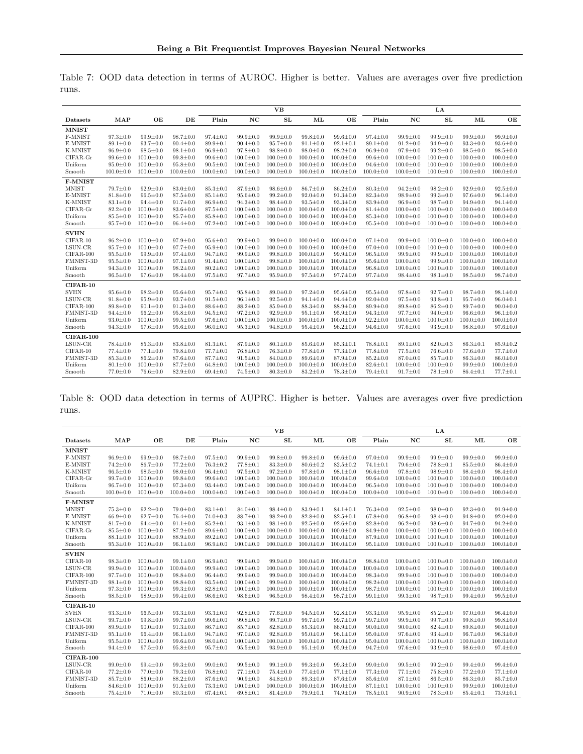Table 7: OOD data detection in terms of AUROC. Higher is better. Values are averages over five prediction runs.

|              |                 |                 |                 |                 |                 | <b>VB</b>       |                 |                 |                 |                 | LA              |                 |                 |
|--------------|-----------------|-----------------|-----------------|-----------------|-----------------|-----------------|-----------------|-----------------|-----------------|-----------------|-----------------|-----------------|-----------------|
| Datasets     | MAP             | OE              | DE              | Plain           | NC              | SL              | ML              | OE              | Plain           | NC              | SL              | ML              | OE              |
| <b>MNIST</b> |                 |                 |                 |                 |                 |                 |                 |                 |                 |                 |                 |                 |                 |
| F-MNIST      | $97.3 \pm 0.0$  | $99.9 \pm 0.0$  | $98.7 \pm 0.0$  | $97.4 \pm 0.0$  | $99.9 \pm 0.0$  | $99.9 \pm 0.0$  | $99.8 \pm 0.0$  | $99.6 \pm 0.0$  | $97.4 \pm 0.0$  | $99.9 \pm 0.0$  | $99.9 \pm 0.0$  | $99.9 \pm 0.0$  | $99.9 \pm 0.0$  |
| E-MNIST      | $89.1 \pm 0.0$  | $93.7 \pm 0.0$  | $90.4 \pm 0.0$  | $89.9 \pm 0.1$  | $90.4 \pm 0.0$  | $95.7 \pm 0.0$  | $91.1 \pm 0.0$  | $92.1 \pm 0.1$  | $89.1 \pm 0.0$  | $91.2 \pm 0.0$  | $94.9 \pm 0.0$  | $93.3 \pm 0.0$  | $93.6 \pm 0.0$  |
| K-MNIST      | $96.9 \pm 0.0$  | $98.5 \pm 0.0$  | $98.1 \pm 0.0$  | $96.9 \pm 0.0$  | $97.8 \pm 0.0$  | $98.8 \pm 0.0$  | $98.0 \pm 0.0$  | $98.2 \pm 0.0$  | $96.9 \pm 0.0$  | $97.9 \pm 0.0$  | $99.2 \pm 0.0$  | $98.5 \pm 0.0$  | $98.5 \pm 0.0$  |
| CIFAR-Gr     | $99.6 \pm 0.0$  | $100.0 \pm 0.0$ | $99.8 \pm 0.0$  | $99.6 \pm 0.0$  | $100.0 \pm 0.0$ | $100.0 \pm 0.0$ | $100.0 \pm 0.0$ | $100.0 \pm 0.0$ | $99.6 \pm 0.0$  | $100.0 \pm 0.0$ | $100.0 \pm 0.0$ | $100.0 \pm 0.0$ | $100.0 \pm 0.0$ |
| Uniform      | $95.0 \pm 0.0$  | $100.0 \pm 0.0$ | $95.8 \pm 0.0$  | $90.5 \pm 0.0$  | $100.0 \pm 0.0$ | $100.0 \pm 0.0$ | $100.0 \pm 0.0$ | $100.0 \pm 0.0$ | $94.6 \pm 0.0$  | $100.0 \pm 0.0$ | $100.0 \pm 0.0$ | $100.0 \pm 0.0$ | $100.0 \pm 0.0$ |
| Smooth       | $100.0 \pm 0.0$ | $100.0 \pm 0.0$ | $100.0 \pm 0.0$ | $100.0 \pm 0.0$ | $100.0 \pm 0.0$ | $100.0 \pm 0.0$ | $100.0 \pm 0.0$ | $100.0 \pm 0.0$ | $100.0 \pm 0.0$ | $100.0 \pm 0.0$ | $100.0 \pm 0.0$ | $100.0 \pm 0.0$ | $100.0 \pm 0.0$ |
| F-MNIST      |                 |                 |                 |                 |                 |                 |                 |                 |                 |                 |                 |                 |                 |
| <b>MNIST</b> | $79.7 \pm 0.0$  | $92.9 \pm 0.0$  | $83.0 \pm 0.0$  | $85.3 \pm 0.0$  | $87.9 \pm 0.0$  | $98.6 \pm 0.0$  | $86.7 \pm 0.0$  | $86.2 \pm 0.0$  | $80.3 \pm 0.0$  | $94.2 \pm 0.0$  | $98.2 \pm 0.0$  | $92.9 \pm 0.0$  | $92.5 \pm 0.0$  |
| E-MNIST      | $81.8 \pm 0.0$  | $96.5 \pm 0.0$  | $87.5 \pm 0.0$  | $85.1 \pm 0.0$  | $95.6 \pm 0.0$  | $99.2 \pm 0.0$  | $92.0 \pm 0.0$  | $91.3 \pm 0.0$  | $82.3 \pm 0.0$  | $98.9 \pm 0.0$  | $99.3 \pm 0.0$  | $97.6 \pm 0.0$  | $96.1 \pm 0.0$  |
| K-MNIST      | $83.1 \pm 0.0$  | $94.4 \pm 0.0$  | $91.7 \pm 0.0$  | $86.9 \pm 0.0$  | $94.3 \pm 0.0$  | $98.4 \pm 0.0$  | $93.5 \pm 0.0$  | $93.3 \pm 0.0$  | $83.9 \pm 0.0$  | $96.9 \pm 0.0$  | $98.7 \pm 0.0$  | $94.9 \pm 0.0$  | $94.1 \pm 0.0$  |
| CIFAR-Gr     | $82.2 \pm 0.0$  | $100.0 \pm 0.0$ | $83.6 \pm 0.0$  | $87.5 \pm 0.0$  | $100.0 \pm 0.0$ | $100.0 \pm 0.0$ | $100.0 \pm 0.0$ | $100.0 \pm 0.0$ | $81.4 \pm 0.0$  | $100.0 \pm 0.0$ | $100.0 \pm 0.0$ | $100.0 \pm 0.0$ | $100.0 \pm 0.0$ |
| Uniform      | $85.5 \pm 0.0$  | $100.0 \pm 0.0$ | $85.7 \pm 0.0$  | $85.8 \pm 0.0$  | $100.0 \pm 0.0$ | $100.0 \pm 0.0$ | $100.0 \pm 0.0$ | $100.0 \pm 0.0$ | $85.3 \pm 0.0$  | $100.0 \pm 0.0$ | $100.0 \pm 0.0$ | $100.0 \pm 0.0$ | $100.0 \pm 0.0$ |
| Smooth       | $95.7 \pm 0.0$  | $100.0 \pm 0.0$ | $96.4 \pm 0.0$  | $97.2 \pm 0.0$  | $100.0 \pm 0.0$ | $100.0 \pm 0.0$ | $100.0 \pm 0.0$ | $100.0 \pm 0.0$ | $95.5 \pm 0.0$  | $100.0 \pm 0.0$ | $100.0 \pm 0.0$ | $100.0 \pm 0.0$ | $100.0 \pm 0.0$ |
| <b>SVHN</b>  |                 |                 |                 |                 |                 |                 |                 |                 |                 |                 |                 |                 |                 |
| $CIFAR-10$   | $96.2 \pm 0.0$  | $100.0 \pm 0.0$ | $97.9 \pm 0.0$  | $95.6 \pm 0.0$  | $99.9 \pm 0.0$  | $99.9 \pm 0.0$  | $100.0 \pm 0.0$ | $100.0 \pm 0.0$ | $97.1 \pm 0.0$  | $99.9 \pm 0.0$  | $100.0 \pm 0.0$ | $100.0 \pm 0.0$ | $100.0 \pm 0.0$ |
| LSUN-CR      | $95.7 \pm 0.0$  | $100.0 \pm 0.0$ | $97.7 \pm 0.0$  | $95.9 \pm 0.0$  | $100.0 \pm 0.0$ | $100.0 \pm 0.0$ | $100.0 \pm 0.0$ | $100.0 \pm 0.0$ | $97.0 \pm 0.0$  | $100.0 \pm 0.0$ | $100.0 \pm 0.0$ | $100.0 \pm 0.0$ | $100.0 \pm 0.0$ |
| CIFAR-100    | $95.5 \pm 0.0$  | $99.9 \pm 0.0$  | $97.4 \pm 0.0$  | $94.7 \pm 0.0$  | $99.9 \pm 0.0$  | $99.8 \pm 0.0$  | $100.0 \pm 0.0$ | $99.9 \pm 0.0$  | $96.5 \pm 0.0$  | $99.9 \pm 0.0$  | $99.9 \pm 0.0$  | $100.0 \pm 0.0$ | $100.0 \pm 0.0$ |
| FMNIST-3D    | $95.5 \pm 0.0$  | $100.0 \pm 0.0$ | $97.1 \pm 0.0$  | $91.4 \pm 0.0$  | $100.0 \pm 0.0$ | $99.8 \pm 0.0$  | $100.0 \pm 0.0$ | $100.0 \pm 0.0$ | $95.6 \pm 0.0$  | $100.0 \pm 0.0$ | $99.9 \pm 0.0$  | $100.0 \pm 0.0$ | $100.0 \pm 0.0$ |
| Uniform      | $94.3 \pm 0.0$  | $100.0 \pm 0.0$ | $98.2 \pm 0.0$  | $80.2 \pm 0.0$  | $100.0 \pm 0.0$ | $100.0 \pm 0.0$ | $100.0 \pm 0.0$ | $100.0 \pm 0.0$ | $96.8 \pm 0.0$  | $100.0 \pm 0.0$ | $100.0 \pm 0.0$ | $100.0 \pm 0.0$ | $100.0 \pm 0.0$ |
| Smooth       | $96.5 \pm 0.0$  | $97.6 \pm 0.0$  | $98.4 \pm 0.0$  | $97.5 \pm 0.0$  | $97.7 \pm 0.0$  | $95.9 \pm 0.0$  | $97.5 \pm 0.0$  | $97.7 \pm 0.0$  | $97.7 \pm 0.0$  | $98.4 \pm 0.0$  | $98.1 \pm 0.0$  | $98.5 \pm 0.0$  | $98.7 \pm 0.0$  |
| CIFAR-10     |                 |                 |                 |                 |                 |                 |                 |                 |                 |                 |                 |                 |                 |
| <b>SVHN</b>  | $95.6 \pm 0.0$  | $98.2 \pm 0.0$  | $95.6 \pm 0.0$  | $95.7 \pm 0.0$  | $95.8 \pm 0.0$  | $89.0 \pm 0.0$  | $97.2 \pm 0.0$  | $95.6 \pm 0.0$  | $95.5 \pm 0.0$  | $97.8 \pm 0.0$  | $92.7 \pm 0.0$  | $98.7 \pm 0.0$  | $98.1 \pm 0.0$  |
| LSUN-CR      | $91.8 \pm 0.0$  | $95.9 \pm 0.0$  | $93.7 \pm 0.0$  | $91.5 \pm 0.0$  | $96.1 \pm 0.0$  | $92.5 \pm 0.0$  | $94.1 \pm 0.0$  | $94.4 \pm 0.0$  | $92.0 \pm 0.0$  | $97.5 \pm 0.0$  | $93.8 \pm 0.1$  | $95.7 \pm 0.0$  | $96.0 \pm 0.1$  |
| CIFAR-100    | $89.8 \pm 0.0$  | $90.1 \pm 0.0$  | $91.3 \pm 0.0$  | $88.6 \pm 0.0$  | $88.2 \pm 0.0$  | $85.9 \pm 0.0$  | $88.3 \pm 0.0$  | $88.9 \pm 0.0$  | $89.9 \pm 0.0$  | $89.8 \pm 0.0$  | $86.2 \pm 0.0$  | $89.7 \pm 0.0$  | $90.0 \pm 0.0$  |
| FMNIST-3D    | $94.4 \pm 0.0$  | $96.2 \pm 0.0$  | $95.8 \pm 0.0$  | $94.5 \pm 0.0$  | $97.2 \pm 0.0$  | $92.9 \pm 0.0$  | $95.1 \pm 0.0$  | $95.9 \pm 0.0$  | $94.3 \pm 0.0$  | $97.7 \pm 0.0$  | $94.0 \pm 0.0$  | $96.6 \pm 0.0$  | $96.1 \pm 0.0$  |
| Uniform      | $93.0 \pm 0.0$  | $100.0 \pm 0.0$ | $99.5 \pm 0.0$  | $97.6 \pm 0.0$  | $100.0 \pm 0.0$ | $100.0 \pm 0.0$ | $100.0 \pm 0.0$ | $100.0 \pm 0.0$ | $92.2 \pm 0.0$  | $100.0 \pm 0.0$ | $100.0 \pm 0.0$ | $100.0 \pm 0.0$ | $100.0 \pm 0.0$ |
| Smooth       | $94.3 \pm 0.0$  | $97.6 \pm 0.0$  | $95.6 \pm 0.0$  | $96.0 \pm 0.0$  | $95.3 \pm 0.0$  | $94.8 \pm 0.0$  | $95.4 \pm 0.0$  | $96.2 \pm 0.0$  | $94.6 \pm 0.0$  | $97.6 \pm 0.0$  | $93.9 \pm 0.0$  | $98.8 \pm 0.0$  | $97.6 \pm 0.0$  |
| CIFAR-100    |                 |                 |                 |                 |                 |                 |                 |                 |                 |                 |                 |                 |                 |
| LSUN-CR      | $78.4 \pm 0.0$  | $85.3 \pm 0.0$  | $83.8 \pm 0.0$  | $81.3 \pm 0.1$  | $87.9 \pm 0.0$  | $80.1 \pm 0.0$  | $85.6 \pm 0.0$  | $85.3 \pm 0.1$  | $78.8 \pm 0.1$  | $89.1 \pm 0.0$  | $82.0 \pm 0.3$  | $86.3 \pm 0.1$  | $85.9 \pm 0.2$  |
| $CIFAR-10$   | $77.4 \pm 0.0$  | $77.1 \pm 0.0$  | $79.8 \pm 0.0$  | $77.7 \pm 0.0$  | $76.8 \pm 0.0$  | $76.3 \pm 0.0$  | $77.8 \pm 0.0$  | $77.3 \pm 0.0$  | $77.8 \pm 0.0$  | $77.5 \pm 0.0$  | $76.6 \pm 0.0$  | $77.6 \pm 0.0$  | $77.7 \pm 0.0$  |
| FMNIST-3D    | $85.3 \pm 0.0$  | $86.2 \pm 0.0$  | $87.6 \pm 0.0$  | $87.7 \pm 0.0$  | $91.5 \pm 0.0$  | $84.0 \pm 0.0$  | $89.6 \pm 0.0$  | $87.9 \pm 0.0$  | $85.2 \pm 0.0$  | $87.0 \pm 0.0$  | $85.7 \pm 0.0$  | $86.3 \pm 0.0$  | $86.0 \pm 0.0$  |
| Uniform      | $80.1 \pm 0.0$  | $100.0 \pm 0.0$ | $87.7 \pm 0.0$  | $64.8 \pm 0.0$  | $100.0 \pm 0.0$ | $100.0 \pm 0.0$ | $100.0 \pm 0.0$ | $100.0 \pm 0.0$ | $82.6 \pm 0.1$  | $100.0 \pm 0.0$ | $100.0 \pm 0.0$ | $99.9 \pm 0.0$  | $100.0 \pm 0.0$ |
| Smooth       | $77.0 \pm 0.0$  | $76.6 \pm 0.0$  | $82.9 \pm 0.0$  | $69.4 \pm 0.0$  | $74.5 \pm 0.0$  | $80.3 \pm 0.0$  | $83.2 \pm 0.0$  | $78.3 \pm 0.0$  | $79.4 \pm 0.1$  | $91.7 \pm 0.0$  | $78.1 \pm 0.0$  | $86.4 \pm 0.1$  | $77.7 \pm 0.1$  |
|              |                 |                 |                 |                 |                 |                 |                 |                 |                 |                 |                 |                 |                 |

Table 8: OOD data detection in terms of AUPRC. Higher is better. Values are averages over five prediction runs.

|                  |                 |                 |                 |                 |                 | <b>VB</b>       |                 |                 |                 |                 | LA              |                 |                 |
|------------------|-----------------|-----------------|-----------------|-----------------|-----------------|-----------------|-----------------|-----------------|-----------------|-----------------|-----------------|-----------------|-----------------|
| Datasets         | <b>MAP</b>      | OE              | DE              | Plain           | NC              | SL              | ML              | OE              | Plain           | NC              | ${\bf SL}$      | ML              | OE              |
| <b>MNIST</b>     |                 |                 |                 |                 |                 |                 |                 |                 |                 |                 |                 |                 |                 |
| F-MNIST          | $96.9 \pm 0.0$  | $99.9 \pm 0.0$  | $98.7 \pm 0.0$  | $97.5 \pm 0.0$  | $99.9 \pm 0.0$  | $99.8 \pm 0.0$  | $99.8 \pm 0.0$  | $99.6 \pm 0.0$  | $97.0 \pm 0.0$  | $99.9 \pm 0.0$  | $99.9 \pm 0.0$  | $99.9 \pm 0.0$  | $99.9 \pm 0.0$  |
| E-MNIST          | $74.2 \pm 0.0$  | $86.7 \pm 0.0$  | $77.2 \pm 0.0$  | $76.3 \pm 0.2$  | $77.8 \pm 0.1$  | $83.3 \pm 0.0$  | $80.6 \pm 0.2$  | $82.5 \pm 0.2$  | $74.1 \pm 0.1$  | $79.6 \pm 0.0$  | $78.8 \pm 0.1$  | $85.5 \pm 0.0$  | $86.4 \pm 0.0$  |
| K-MNIST          | $96.5 \pm 0.0$  | $98.5 \pm 0.0$  | $98.0 \pm 0.0$  | $96.4 \pm 0.0$  | $97.5 \pm 0.0$  | $97.2 \pm 0.0$  | $97.8 \pm 0.0$  | $98.1 \pm 0.0$  | $96.6 \pm 0.0$  | $97.8 \pm 0.0$  | $98.9 \pm 0.0$  | $98.4 \pm 0.0$  | $98.4 \pm 0.0$  |
| CIFAR-Gr         | $99.7 \pm 0.0$  | $100.0 \pm 0.0$ | $99.8 \pm 0.0$  | $99.6 \pm 0.0$  | $100.0 \pm 0.0$ | $100.0 \pm 0.0$ | $100.0 \pm 0.0$ | $100.0 \pm 0.0$ | $99.6 \pm 0.0$  | $100.0 \pm 0.0$ | $100.0 \pm 0.0$ | $100.0 \pm 0.0$ | $100.0 \pm 0.0$ |
| Uniform          | $96.7 \pm 0.0$  | $100.0 \pm 0.0$ | $97.3 \pm 0.0$  | $93.4 \pm 0.0$  | $100.0 \pm 0.0$ | $100.0 \pm 0.0$ | $100.0 \pm 0.0$ | $100.0 \pm 0.0$ | $96.5 \pm 0.0$  | $100.0 \pm 0.0$ | $100.0 \pm 0.0$ | $100.0 \pm 0.0$ | $100.0 \pm 0.0$ |
| Smooth           | $100.0 \pm 0.0$ | $100.0 \pm 0.0$ | $100.0 \pm 0.0$ | $100.0 \pm 0.0$ | $100.0 \pm 0.0$ | $100.0 \pm 0.0$ | $100.0 \pm 0.0$ | $100.0 \pm 0.0$ | $100.0 \pm 0.0$ | $100.0 \pm 0.0$ | $100.0 \pm 0.0$ | $100.0 \pm 0.0$ | $100.0 \pm 0.0$ |
| <b>F-MNIST</b>   |                 |                 |                 |                 |                 |                 |                 |                 |                 |                 |                 |                 |                 |
| <b>MNIST</b>     | $75.3 \pm 0.0$  | $92.2 \pm 0.0$  | $79.0 \pm 0.0$  | $83.1 \pm 0.1$  | $84.0 \pm 0.1$  | $98.4 \pm 0.0$  | $83.9 \pm 0.1$  | $84.1 \pm 0.1$  | $76.3 \pm 0.0$  | $92.5 \pm 0.0$  | $98.0 \pm 0.0$  | $92.3 \pm 0.0$  | $91.9 \pm 0.0$  |
| E-MNIST          | $66.9 \pm 0.0$  | $92.7 \pm 0.0$  | $76.4 \pm 0.0$  | $74.0 \pm 0.3$  | $88.7 \pm 0.1$  | $98.2 \pm 0.0$  | $82.8 \pm 0.0$  | $82.5 \pm 0.1$  | $67.8 \pm 0.0$  | $96.8 \pm 0.0$  | $98.4 \pm 0.0$  | $94.8 \pm 0.0$  | $92.0 \pm 0.0$  |
| K-MNIST          | $81.7 \pm 0.0$  | $94.4 \pm 0.0$  | $91.1 \pm 0.0$  | $85.2 \pm 0.1$  | $93.1 \pm 0.0$  | $98.1 \pm 0.0$  | $92.5 \pm 0.0$  | $92.6 \pm 0.0$  | $82.8 \pm 0.0$  | $96.2 \pm 0.0$  | $98.6 \pm 0.0$  | $94.7 \pm 0.0$  | $94.2 \pm 0.0$  |
| CIFAR-Gr         | $85.5 \pm 0.0$  | $100.0 \pm 0.0$ | $87.2 \pm 0.0$  | $89.6 \pm 0.0$  | $100.0 \pm 0.0$ | $100.0 \pm 0.0$ | $100.0 \pm 0.0$ | $100.0 \pm 0.0$ | $84.9 \pm 0.0$  | $100.0 \pm 0.0$ | $100.0 \pm 0.0$ | $100.0 \pm 0.0$ | $100.0 \pm 0.0$ |
| Uniform          | $88.1 \pm 0.0$  | $100.0 \pm 0.0$ | $88.9 \pm 0.0$  | $89.2 \pm 0.0$  | $100.0 \pm 0.0$ | $100.0 \pm 0.0$ | $100.0 \pm 0.0$ | $100.0 \pm 0.0$ | $87.9 \pm 0.0$  | $100.0 \pm 0.0$ | $100.0 \pm 0.0$ | $100.0 \pm 0.0$ | $100.0 \pm 0.0$ |
| Smooth           | $95.3 \pm 0.0$  | $100.0 \pm 0.0$ | $96.1 \pm 0.0$  | $96.9 \pm 0.0$  | $100.0 \pm 0.0$ | $100.0 \pm 0.0$ | $100.0 \pm 0.0$ | $100.0 \pm 0.0$ | $95.1 \pm 0.0$  | $100.0 \pm 0.0$ | $100.0 \pm 0.0$ | $100.0 \pm 0.0$ | $100.0 \pm 0.0$ |
| <b>SVHN</b>      |                 |                 |                 |                 |                 |                 |                 |                 |                 |                 |                 |                 |                 |
| $CIFAR-10$       | $98.3 \pm 0.0$  | $100.0 \pm 0.0$ | $99.1 \pm 0.0$  | $96.9 \pm 0.0$  | $99.9 \pm 0.0$  | $99.9 \pm 0.0$  | $100.0 \pm 0.0$ | $100.0 \pm 0.0$ | $98.8 \pm 0.0$  | $100.0 \pm 0.0$ | $100.0 \pm 0.0$ | $100.0 \pm 0.0$ | $100.0 \pm 0.0$ |
| LSUN-CR          | $99.9 \pm 0.0$  | $100.0 \pm 0.0$ | $100.0 \pm 0.0$ | $99.9 \pm 0.0$  | $100.0 \pm 0.0$ | $100.0 \pm 0.0$ | $100.0 \pm 0.0$ | $100.0 \pm 0.0$ | $100.0 \pm 0.0$ | $100.0 \pm 0.0$ | $100.0 \pm 0.0$ | $100.0 \pm 0.0$ | $100.0 \pm 0.0$ |
| $CIFAR-100$      | $97.7 \pm 0.0$  | $100.0 \pm 0.0$ | $98.8 \pm 0.0$  | $96.4 \pm 0.0$  | $99.9 \pm 0.0$  | $99.9 \pm 0.0$  | $100.0 \pm 0.0$ | $100.0 \pm 0.0$ | $98.3 \pm 0.0$  | $99.9 \pm 0.0$  | $100.0 \pm 0.0$ | $100.0 \pm 0.0$ | $100.0 \pm 0.0$ |
| FMNIST-3D        | $98.1 \pm 0.0$  | $100.0 \pm 0.0$ | $98.8 \pm 0.0$  | $93.5 \pm 0.0$  | $100.0 \pm 0.0$ | $99.9 \pm 0.0$  | $100.0 \pm 0.0$ | $100.0 \pm 0.0$ | $98.2 \pm 0.0$  | $100.0 \pm 0.0$ | $100.0 \pm 0.0$ | $100.0 \pm 0.0$ | $100.0 \pm 0.0$ |
| Uniform          | $97.3 \pm 0.0$  | $100.0 \pm 0.0$ | $99.3 \pm 0.0$  | $82.8 \pm 0.0$  | $100.0 \pm 0.0$ | $100.0 \pm 0.0$ | $100.0 \pm 0.0$ | $100.0 \pm 0.0$ | $98.7 \pm 0.0$  | $100.0 \pm 0.0$ | $100.0 \pm 0.0$ | $100.0 \pm 0.0$ | $100.0 \pm 0.0$ |
| Smooth           | $98.5 \pm 0.0$  | $98.9 \pm 0.0$  | $99.4 \pm 0.0$  | $98.6 \pm 0.0$  | $98.6 \pm 0.0$  | $96.5 \pm 0.0$  | $98.4 \pm 0.0$  | $98.7 \pm 0.0$  | $99.1 \pm 0.0$  | $99.3 \pm 0.0$  | $98.7 \pm 0.0$  | $99.4 \pm 0.0$  | $99.5 \pm 0.0$  |
| $CIFAR-10$       |                 |                 |                 |                 |                 |                 |                 |                 |                 |                 |                 |                 |                 |
| <b>SVHN</b>      | $93.3 \pm 0.0$  | $96.5 \pm 0.0$  | $93.3 \pm 0.0$  | $93.3 \pm 0.0$  | $92.8 \pm 0.0$  | $77.6 \pm 0.0$  | $94.5 \pm 0.0$  | $92.8 \pm 0.0$  | $93.3 \pm 0.0$  | $95.9 \pm 0.0$  | $85.2 \pm 0.0$  | $97.0 \pm 0.0$  | $96.4 \pm 0.0$  |
| LSUN-CR          | $99.7 \pm 0.0$  | $99.8 \pm 0.0$  | $99.7 \pm 0.0$  | $99.6 \pm 0.0$  | $99.8 \pm 0.0$  | $99.7 \pm 0.0$  | $99.7 \pm 0.0$  | $99.7 \pm 0.0$  | $99.7 \pm 0.0$  | $99.9 \pm 0.0$  | $99.7 \pm 0.0$  | $99.8 \pm 0.0$  | $99.8 \pm 0.0$  |
| $CIFAR-100$      | $89.9 \pm 0.0$  | $90.0 \pm 0.0$  | $91.3 \pm 0.0$  | $86.7 \pm 0.0$  | $85.7 \pm 0.0$  | $82.8 \pm 0.0$  | $85.3 \pm 0.0$  | $86.9 \pm 0.0$  | $90.0 \pm 0.0$  | $90.0 \pm 0.0$  | $82.4 \pm 0.0$  | $89.8 \pm 0.0$  | $90.0 \pm 0.0$  |
| FMNIST-3D        | $95.1 \pm 0.0$  | $96.4 \pm 0.0$  | $96.1 \pm 0.0$  | $94.7 \pm 0.0$  | $97.0 \pm 0.0$  | $92.8 \pm 0.0$  | $95.0 \pm 0.0$  | $96.1 \pm 0.0$  | $95.0 \pm 0.0$  | $97.6 \pm 0.0$  | $93.4 \pm 0.0$  | $96.7 \pm 0.0$  | $96.3 \pm 0.0$  |
| Uniform          | $95.5 \pm 0.0$  | $100.0 \pm 0.0$ | $99.6 \pm 0.0$  | $98.0 \pm 0.0$  | $100.0 \pm 0.0$ | $100.0 \pm 0.0$ | $100.0 \pm 0.0$ | $100.0 \pm 0.0$ | $95.0 \pm 0.0$  | $100.0 \pm 0.0$ | $100.0 \pm 0.0$ | $100.0 \pm 0.0$ | $100.0 \pm 0.0$ |
| Smooth           | $94.4 \pm 0.0$  | $97.5 \pm 0.0$  | $95.8 \pm 0.0$  | $95.7 \pm 0.0$  | $95.5 \pm 0.0$  | $93.9 \pm 0.0$  | $95.1 \pm 0.0$  | $95.9 \pm 0.0$  | $94.7 \pm 0.0$  | $97.6 \pm 0.0$  | $93.9 \pm 0.0$  | $98.6 \pm 0.0$  | $97.4 \pm 0.0$  |
| <b>CIFAR-100</b> |                 |                 |                 |                 |                 |                 |                 |                 |                 |                 |                 |                 |                 |
| LSUN-CR          | $99.0 \pm 0.0$  | $99.4 \pm 0.0$  | $99.3 \pm 0.0$  | $99.0 \pm 0.0$  | $99.5 \pm 0.0$  | $99.1 \pm 0.0$  | $99.3 \pm 0.0$  | $99.3 \pm 0.0$  | $99.0 \pm 0.0$  | $99.5 \pm 0.0$  | $99.2 \pm 0.0$  | $99.4 \pm 0.0$  | $99.4 \pm 0.0$  |
| CIFAR-10         | $77.2 \pm 0.0$  | $77.0 \pm 0.0$  | $79.3 \pm 0.0$  | $76.8 \pm 0.0$  | $77.1 \pm 0.0$  | $75.4 \pm 0.0$  | $77.4 \pm 0.0$  | $77.1 \pm 0.0$  | $77.3 \pm 0.0$  | $77.1 \pm 0.0$  | $75.8 \pm 0.0$  | $77.2 \pm 0.0$  | $77.1 \pm 0.0$  |
| FMNIST-3D        | $85.7 \pm 0.0$  | $86.0 \pm 0.0$  | $88.2 \pm 0.0$  | $87.6 \pm 0.0$  | $90.9 \pm 0.0$  | $84.8 \pm 0.0$  | $89.3 \pm 0.0$  | $87.6 \pm 0.0$  | $85.6 \pm 0.0$  | $87.1 \pm 0.0$  | $86.5 \pm 0.0$  | $86.3 \pm 0.0$  | $85.7 \pm 0.0$  |
| Uniform          | $84.6 \pm 0.0$  | $100.0 \pm 0.0$ | $91.5 \pm 0.0$  | $73.3 \pm 0.0$  | $100.0 \pm 0.0$ | $100.0 \pm 0.0$ | $100.0 \pm 0.0$ | $100.0 \pm 0.0$ | $87.1 \pm 0.1$  | $100.0 \pm 0.0$ | $100.0 \pm 0.0$ | $99.9 \pm 0.0$  | $100.0 \pm 0.0$ |
| Smooth           | $75.4 \pm 0.0$  | $71.0 \pm 0.0$  | $80.3 \pm 0.0$  | $67.4 \pm 0.1$  | $69.8 \pm 0.1$  | $81.4 \pm 0.0$  | $79.9 \pm 0.1$  | $74.9 \pm 0.0$  | $78.5 \pm 0.1$  | $90.9 \pm 0.0$  | $78.3 \pm 0.0$  | $85.4 \pm 0.1$  | $73.9 \pm 0.1$  |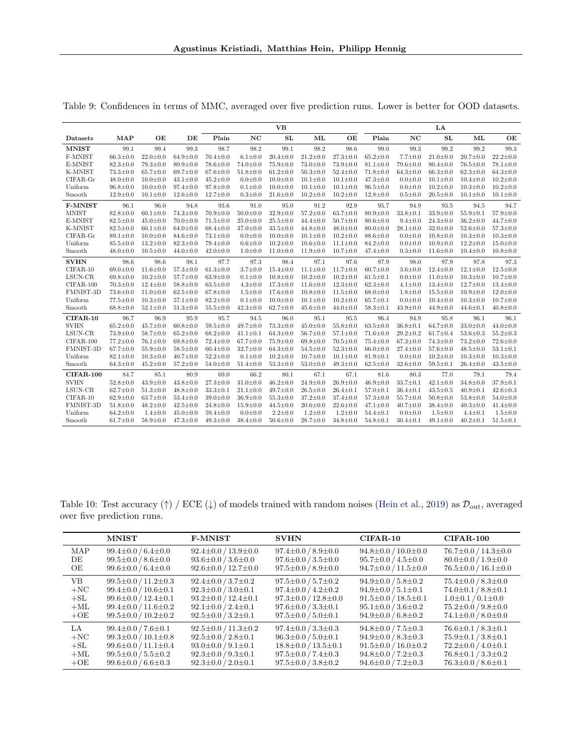|                  |                |                |                |                |                | <b>VB</b>      |                |                |                |                | LA             |                |                |
|------------------|----------------|----------------|----------------|----------------|----------------|----------------|----------------|----------------|----------------|----------------|----------------|----------------|----------------|
| Datasets         | <b>MAP</b>     | OE             | DE             | Plain          | NC             | SL             | ML             | OE             | Plain          | NC             | SL             | ML             | OE             |
| <b>MNIST</b>     | 99.1           | 99.4           | 99.3           | 98.7           | 98.2           | 99.1           | 98.2           | 98.6           | 99.0           | 99.3           | 99.2           | 99.2           | 99.3           |
| F-MNIST          | $66.3 \pm 0.0$ | $22.0 \pm 0.0$ | $64.9 \pm 0.0$ | $70.4 \pm 0.0$ | $6.1 \pm 0.0$  | $20.4 \pm 0.0$ | $21.2 \pm 0.0$ | $27.3 \pm 0.0$ | $65.2 \pm 0.0$ | $7.7 \pm 0.0$  | $21.0 \pm 0.0$ | $20.7 \pm 0.0$ | $22.2 \pm 0.0$ |
| E-MNIST          | $82.3 \pm 0.0$ | $79.3 \pm 0.0$ | $80.9 \pm 0.0$ | $78.6 \pm 0.0$ | $74.0 \pm 0.0$ | $75.9 \pm 0.0$ | $73.0 \pm 0.0$ | $73.9 \pm 0.0$ | $81.1 \pm 0.0$ | $79.6 \pm 0.0$ | $80.4 \pm 0.0$ | $76.5 \pm 0.0$ | $78.1 \pm 0.0$ |
| K-MNIST          | $73.3 \pm 0.0$ | $65.7 \pm 0.0$ | $69.7 \pm 0.0$ | $67.6 \pm 0.0$ | $51.8 \pm 0.0$ | $61.2 \pm 0.0$ | $50.3 \pm 0.0$ | $52.4 \pm 0.0$ | $71.8 \pm 0.0$ | $64.3 \pm 0.0$ | $66.3 \pm 0.0$ | $62.3 \pm 0.0$ | $64.3 \pm 0.0$ |
| CIFAR-Gr         | $48.0 \pm 0.0$ | $10.0 \pm 0.0$ | $43.1 \pm 0.0$ | $45.2 \pm 0.0$ | $0.0 \pm 0.0$  | $10.0 \pm 0.0$ | $10.1 \pm 0.0$ | $10.1 \pm 0.0$ | $47.3 \pm 0.0$ | $0.0 \pm 0.0$  | $10.1 \pm 0.0$ | $10.4 \pm 0.0$ | $10.2 \pm 0.0$ |
| Uniform          | $96.8 \pm 0.0$ | $10.0 \pm 0.0$ | $97.4 \pm 0.0$ | $97.8 \pm 0.0$ | $0.1 \pm 0.0$  | $10.0 \pm 0.0$ | $10.1 \pm 0.0$ | $10.1 \pm 0.0$ | $96.5 \pm 0.0$ | $0.0 + 0.0$    | $10.2 \pm 0.0$ | $10.3 \pm 0.0$ | $10.2 \pm 0.0$ |
| Smooth           | $12.9 \pm 0.0$ | $10.1 \pm 0.0$ | $12.6 \pm 0.0$ | $12.7 \pm 0.0$ | $0.3 \pm 0.0$  | $21.6 \pm 0.0$ | $10.2 \pm 0.0$ | $10.2 \pm 0.0$ | $12.8 \pm 0.0$ | $0.5 \pm 0.0$  | $20.5 \pm 0.0$ | $10.1 \pm 0.0$ | $10.1 \pm 0.0$ |
| <b>F-MNIST</b>   | 96.1           | 96.0           | 94.8           | 93.6           | 91.0           | 95.0           | 91.2           | 92.9           | 95.7           | 94.9           | 93.5           | 94.5           | 94.7           |
| <b>MNIST</b>     | $82.8 \pm 0.0$ | $60.1 \pm 0.0$ | $74.3 \pm 0.0$ | $70.9 \pm 0.0$ | $50.0 \pm 0.0$ | $32.9 \pm 0.0$ | $57.2 \pm 0.0$ | $63.7 \pm 0.0$ | $80.9 \pm 0.0$ | $33.8 \pm 0.1$ | $33.9 \pm 0.0$ | $55.9 \pm 0.1$ | $57.9 \pm 0.0$ |
| E-MNIST          | $82.5 \pm 0.0$ | $45.0 \pm 0.0$ | $70.0 \pm 0.0$ | $71.5 \pm 0.0$ | $25.0 \pm 0.0$ | $25.5 \pm 0.0$ | $44.4 \pm 0.0$ | $50.7 \pm 0.0$ | $80.6 \pm 0.0$ | $9.4 \pm 0.0$  | $24.3 \pm 0.0$ | $36.2 \pm 0.0$ | $44.7 \pm 0.0$ |
| K-MNIST          | $82.5 \pm 0.0$ | $60.1 \pm 0.0$ | $64.0 \pm 0.0$ | $68.4 \pm 0.0$ | $37.0 \pm 0.0$ | $33.5 \pm 0.0$ | $44.8 \pm 0.0$ | $48.0 \pm 0.0$ | $80.0 \pm 0.0$ | $28.1 \pm 0.0$ | $32.0 \pm 0.0$ | $52.6 \pm 0.0$ | $57.3 \pm 0.0$ |
| CIFAR-Gr         | $89.1 \pm 0.0$ | $10.0 \pm 0.0$ | $84.6 \pm 0.0$ | $73.1 \pm 0.0$ | $0.0 \pm 0.0$  | $10.0 \pm 0.0$ | $10.1 \pm 0.0$ | $10.2 \pm 0.0$ | $88.6 \pm 0.0$ | $0.0 \pm 0.0$  | $10.8 \pm 0.0$ | $10.3 \pm 0.0$ | $10.3 \pm 0.0$ |
| Uniform          | $85.5 \pm 0.0$ | $13.2 \pm 0.0$ | $82.3 \pm 0.0$ | $79.4 \pm 0.0$ | $0.6 \pm 0.0$  | $10.2 \pm 0.0$ | $10.6 \pm 0.0$ | $11.1 \pm 0.0$ | $84.2 \pm 0.0$ | $0.0 + 0.0$    | $10.9 \pm 0.0$ | $12.2 \pm 0.0$ | $15.0 \pm 0.0$ |
| Smooth           | $48.0 \pm 0.0$ | $10.5 \pm 0.0$ | $44.0 \pm 0.0$ | $42.0 \pm 0.0$ | $1.0 \pm 0.0$  | $11.0 \pm 0.0$ | $11.9 \pm 0.0$ | $10.7 \pm 0.0$ | $47.4 \pm 0.0$ | $0.3 + 0.0$    | $11.6 \pm 0.0$ | $10.4 \pm 0.0$ | $10.8 \pm 0.0$ |
| <b>SVHN</b>      | 98.6           | 98.6           | 98.1           | 97.7           | 97.3           | 98.4           | 97.1           | 97.6           | 97.9           | 98.0           | 97.9           | 97.8           | 97.3           |
| $CIFAR-10$       | $69.0 \pm 0.0$ | $11.6 \pm 0.0$ | $57.3 \pm 0.0$ | $61.3 \pm 0.0$ | $3.7 \pm 0.0$  | $15.4 \pm 0.0$ | $11.1 \pm 0.0$ | $11.7 \pm 0.0$ | $60.7 \pm 0.0$ | $3.6 \pm 0.0$  | $12.4 \pm 0.0$ | $12.1 \pm 0.0$ | $12.5 \pm 0.0$ |
| LSUN-CR          | $69.8 \pm 0.0$ | $10.2 \pm 0.0$ | $57.7 \pm 0.0$ | $63.9 \pm 0.0$ | $0.1 \pm 0.0$  | $10.8 \pm 0.0$ | $10.2 \pm 0.0$ | $10.2 \pm 0.0$ | $61.5 \pm 0.1$ | $0.0 + 0.0$    | $11.0 \pm 0.0$ | $10.3 \pm 0.0$ | $10.7 \pm 0.0$ |
| $CIFAR-100$      | $70.3 \pm 0.0$ | $12.4 \pm 0.0$ | $58.8 \pm 0.0$ | $63.5 \pm 0.0$ | $4.3 \pm 0.0$  | $17.3 \pm 0.0$ | $11.6 \pm 0.0$ | $12.3 \pm 0.0$ | $62.3 \pm 0.0$ | $4.1 \pm 0.0$  | $13.4 \pm 0.0$ | $12.7 \pm 0.0$ | $13.4 \pm 0.0$ |
| FMNIST-3D        | $73.6 \pm 0.0$ | $11.0 \pm 0.0$ | $62.5 \pm 0.0$ | $67.8 \pm 0.0$ | $1.5 \pm 0.0$  | $17.6 \pm 0.0$ | $10.8 \pm 0.0$ | $11.5 \pm 0.0$ | $68.0 \pm 0.0$ | $1.8 + 0.0$    | $15.5 \pm 0.0$ | $10.9 \pm 0.0$ | $12.0 \pm 0.0$ |
| Uniform          | $77.5 \pm 0.0$ | $10.3 \pm 0.0$ | $57.1 \pm 0.0$ | $82.2 \pm 0.0$ | $0.1 \pm 0.0$  | $10.0 \pm 0.0$ | $10.1 \pm 0.0$ | $10.2 \pm 0.0$ | $65.7 \pm 0.1$ | $0.0 + 0.0$    | $10.4 \pm 0.0$ | $10.3 \pm 0.0$ | $10.7 \pm 0.0$ |
| Smooth           | $68.8 \pm 0.0$ | $52.1 \pm 0.0$ | $51.3 \pm 0.0$ | $55.5 \pm 0.0$ | $42.3 \pm 0.0$ | $62.7 \pm 0.0$ | $45.6 \pm 0.0$ | $44.0 \pm 0.0$ | $58.3 \pm 0.1$ | $43.9 \pm 0.0$ | $44.9 \pm 0.0$ | $44.6 \pm 0.1$ | $40.8 \pm 0.0$ |
| $CIFAR-10$       | 96.7           | 96.9           | 95.9           | 95.7           | 94.5           | 96.0           | 95.1           | 95.5           | 96.4           | 94.9           | 95.8           | 96.1           | 96.1           |
| <b>SVHN</b>      | $65.2 \pm 0.0$ | $45.7 \pm 0.0$ | $60.8 \pm 0.0$ | $59.5 \pm 0.0$ | $49.7 \pm 0.0$ | $73.3 \pm 0.0$ | $45.0 \pm 0.0$ | $55.8 \pm 0.0$ | $63.5 \pm 0.0$ | $36.8 \pm 0.1$ | $64.7 \pm 0.0$ | $33.0 \pm 0.0$ | $44.0 \pm 0.0$ |
| LSUN-CR          | $73.9 \pm 0.0$ | $58.7 \pm 0.0$ | $65.2 \pm 0.0$ | $68.2 \pm 0.0$ | $41.1 \pm 0.1$ | $64.3 \pm 0.0$ | $56.7 \pm 0.0$ | $57.1 \pm 0.0$ | $71.6 \pm 0.0$ | $29.2 \pm 0.2$ | $61.7 \pm 0.4$ | $53.6 \pm 0.3$ | $55.2 \pm 0.3$ |
| $CIFAR-100$      | $77.2 \pm 0.0$ | $76.1 \pm 0.0$ | $69.8 \pm 0.0$ | $72.4 \pm 0.0$ | $67.7 \pm 0.0$ | $75.9 \pm 0.0$ | $69.8 \pm 0.0$ | $70.5 \pm 0.0$ | $75.4 \pm 0.0$ | $67.3 \pm 0.0$ | $74.3 \pm 0.0$ | $73.2 \pm 0.0$ | $72.6 \pm 0.0$ |
| FMNIST-3D        | $67.7 \pm 0.0$ | $55.9 \pm 0.0$ | $58.5 \pm 0.0$ | $60.4 \pm 0.0$ | $32.7 \pm 0.0$ | $64.3 \pm 0.0$ | $54.5 \pm 0.0$ | $52.3 \pm 0.0$ | $66.0 \pm 0.0$ | $27.4 \pm 0.0$ | $57.6 \pm 0.0$ | $48.5 \pm 0.0$ | $53.1 \pm 0.1$ |
| Uniform          | $82.1 \pm 0.0$ | $10.3 \pm 0.0$ | $40.7 \pm 0.0$ | $52.2 \pm 0.0$ | $0.1 \pm 0.0$  | $10.2 \pm 0.0$ | $10.7 \pm 0.0$ | $10.1 \pm 0.0$ | $81.9 \pm 0.1$ | $0.0 \pm 0.0$  | $10.2 \pm 0.0$ | $10.3 \pm 0.0$ | $10.3 \pm 0.0$ |
| Smooth           | $64.3 \pm 0.0$ | $45.2 \pm 0.0$ | $57.2 \pm 0.0$ | $54.0 \pm 0.0$ | $51.4 \pm 0.0$ | $53.3 \pm 0.0$ | $53.0 \pm 0.0$ | $49.3 \pm 0.0$ | $62.5 \pm 0.0$ | $32.6 \pm 0.0$ | $59.5 \pm 0.1$ | $26.4 \pm 0.0$ | $43.5 \pm 0.0$ |
| <b>CIFAR-100</b> | 84.7           | 85.1           | 80.9           | 69.0           | 66.2           | 80.1           | 67.1           | 67.1           | 81.6           | 80.3           | 77.0           | 79.1           | 79.4           |
| <b>SVHN</b>      | $52.8 \pm 0.0$ | $43.9 \pm 0.0$ | $43.8 \pm 0.0$ | $27.3 \pm 0.0$ | $31.0 \pm 0.0$ | $46.2 \pm 0.0$ | $24.9 \pm 0.0$ | $26.9 \pm 0.0$ | $46.9 \pm 0.0$ | $33.7 \pm 0.1$ | $42.1 \pm 0.0$ | $34.8 \pm 0.0$ | $37.9 \pm 0.1$ |
| LSUN-CR          | $62.7 \pm 0.0$ | $51.3 \pm 0.0$ | $48.8 \pm 0.0$ | $33.3 \pm 0.1$ | $21.1 \pm 0.0$ | $49.7 \pm 0.0$ | $26.5 \pm 0.0$ | $26.4 \pm 0.1$ | $57.0 \pm 0.1$ | $36.4 \pm 0.1$ | $43.5 \pm 0.5$ | $40.9 \pm 0.1$ | $42.6 \pm 0.3$ |
| $CIFAR-10$       | $62.9 \pm 0.0$ | $63.7 \pm 0.0$ | $53.4 \pm 0.0$ | $39.0 \pm 0.0$ | $36.9 \pm 0.0$ | $55.3 \pm 0.0$ | $37.2 \pm 0.0$ | $37.4 \pm 0.0$ | $57.3 \pm 0.0$ | $55.7 \pm 0.0$ | $50.8 \pm 0.0$ | $53.8 \pm 0.0$ | $54.0 \pm 0.0$ |
| FMNIST-3D        | $51.8 \pm 0.0$ | $48.2 \pm 0.0$ | $42.5 \pm 0.0$ | $24.8 \pm 0.0$ | $15.9 \pm 0.0$ | $44.5 \pm 0.0$ | $20.6 \pm 0.0$ | $22.6 \pm 0.0$ | $47.1 \pm 0.0$ | $40.7 \pm 0.0$ | $38.4 \pm 0.0$ | $40.3 \pm 0.0$ | $41.4 \pm 0.0$ |
| Uniform          | $64.2 \pm 0.0$ | $1.4 \pm 0.0$  | $45.0 \pm 0.0$ | $59.4 \pm 0.0$ | $0.0 \pm 0.0$  | $2.2 \pm 0.0$  | $1.2 \pm 0.0$  | $1.2 \pm 0.0$  | $54.4 \pm 0.1$ | $0.0 + 0.0$    | $1.5 \pm 0.0$  | $4.4 \pm 0.1$  | $1.5 \pm 0.0$  |
| Smooth           | $61.7 \pm 0.0$ | $58.9 \pm 0.0$ | $47.3 \pm 0.0$ | $49.3 \pm 0.0$ | $38.4 \pm 0.0$ | $50.6 \pm 0.0$ | $28.7 \pm 0.0$ | $34.8 \pm 0.0$ | $54.8 \pm 0.1$ | $30.4 \pm 0.1$ | $49.1 \pm 0.0$ | $40.2 \pm 0.1$ | $51.5 \pm 0.1$ |

<span id="page-14-1"></span>Table 9: Confidences in terms of MMC, averaged over five prediction runs. Lower is better for OOD datasets.

<span id="page-14-0"></span>Table 10: Test accuracy (†) / ECE (↓) of models trained with random noises [\(Hein et al.,](#page-8-3) [2019\)](#page-8-3) as  $\mathcal{D}_{\text{out}}$ , averaged over five prediction runs.

|            | <b>MNIST</b>                  | <b>F-MNIST</b>                | <b>SVHN</b>                   | $CIFAR-10$                    | $CIFAR-100$                   |
|------------|-------------------------------|-------------------------------|-------------------------------|-------------------------------|-------------------------------|
| <b>MAP</b> | $99.4 \pm 0.0 / 6.4 \pm 0.0$  | $92.4 \pm 0.0 / 13.9 \pm 0.0$ | $97.4 \pm 0.0 / 8.9 \pm 0.0$  | $94.8 \pm 0.0 / 10.0 \pm 0.0$ | $76.7 \pm 0.0 / 14.3 \pm 0.0$ |
| DE         | $99.5 \pm 0.0 / 8.6 \pm 0.0$  | $93.6 \pm 0.0 / 3.6 \pm 0.0$  | $97.6 \pm 0.0 / 3.5 \pm 0.0$  | $95.7 \pm 0.0 / 4.5 \pm 0.0$  | $80.0 \pm 0.0 / 1.9 \pm 0.0$  |
| OЕ         | $99.6 \pm 0.0 / 6.4 \pm 0.0$  | $92.6 \pm 0.0 / 12.7 \pm 0.0$ | $97.5 \pm 0.0 / 8.9 \pm 0.0$  | $94.7 \pm 0.0 / 11.5 \pm 0.0$ | $76.5 \pm 0.0 / 16.1 \pm 0.0$ |
| VB         | $99.5 \pm 0.0 / 11.2 \pm 0.3$ | $92.4 \pm 0.0 / 3.7 \pm 0.2$  | $97.5 \pm 0.0 / 5.7 \pm 0.2$  | $94.9 \pm 0.0 / 5.8 \pm 0.2$  | $75.4 \pm 0.0 / 8.3 \pm 0.0$  |
| $+NC$      | $99.4 \pm 0.0 / 10.6 \pm 0.1$ | $92.3 \pm 0.0 / 3.0 \pm 0.1$  | $97.4 \pm 0.0 / 4.2 \pm 0.2$  | $94.9 \pm 0.0 / 5.1 \pm 0.1$  | $74.0 \pm 0.1 / 8.8 \pm 0.1$  |
| $+SL$      | $99.6 \pm 0.0 / 12.4 \pm 0.1$ | $93.2 \pm 0.0 / 12.4 \pm 0.1$ | $97.3 \pm 0.0 / 12.8 \pm 0.0$ | $91.5 \pm 0.0 / 18.5 \pm 0.1$ | $1.0\pm0.1/0.1\pm0.0$         |
| $+ML$      | $99.4 \pm 0.0 / 11.6 \pm 0.2$ | $92.1 \pm 0.0 / 2.4 \pm 0.1$  | $97.6 \pm 0.0 / 3.3 \pm 0.1$  | $95.1 \pm 0.0 / 3.6 \pm 0.2$  | $75.2 \pm 0.0 / 9.8 \pm 0.0$  |
| $+OE$      | $99.5 \pm 0.0 / 10.2 \pm 0.2$ | $92.5 \pm 0.0 / 3.2 \pm 0.1$  | $97.5 \pm 0.0 / 5.0 \pm 0.1$  | $94.9 \pm 0.0 / 6.8 \pm 0.2$  | $74.1 \pm 0.0 / 8.0 \pm 0.0$  |
| LA –       | $99.4 \pm 0.0 / 7.6 \pm 0.1$  | $92.5 \pm 0.0 / 11.3 \pm 0.2$ | $97.4 \pm 0.0 / 3.3 \pm 0.3$  | $94.8 \pm 0.0 / 7.5 \pm 0.3$  | $76.6 \pm 0.1 / 8.3 \pm 0.1$  |
| $+NC$      | $99.3 \pm 0.0 / 10.1 \pm 0.8$ | $92.5 \pm 0.0 / 2.8 \pm 0.1$  | $96.3 \pm 0.0 / 5.0 \pm 0.1$  | $94.9 \pm 0.0 / 8.3 \pm 0.3$  | $75.9 \pm 0.1 / 3.8 \pm 0.1$  |
| $+SL$      | $99.6 \pm 0.0 / 11.1 \pm 0.4$ | $93.0 \pm 0.0 / 9.1 \pm 0.1$  | $18.8 \pm 0.0 / 13.5 \pm 0.1$ | $91.5 \pm 0.0 / 16.0 \pm 0.2$ | $72.2 \pm 0.0 / 4.0 \pm 0.1$  |
| $+ML$      | $99.5 \pm 0.0 / 5.5 \pm 0.2$  | $92.3 \pm 0.0 / 9.3 \pm 0.1$  | $97.5 \pm 0.0 / 7.4 \pm 0.3$  | $94.8 \pm 0.0 / 7.2 \pm 0.3$  | $76.8 \pm 0.1 / 3.3 \pm 0.2$  |
| $+OE$      | $99.6 \pm 0.0 / 6.6 \pm 0.3$  | $92.3 \pm 0.0 / 2.0 \pm 0.1$  | $97.5 \pm 0.0 / 3.8 \pm 0.2$  | $94.6 \pm 0.0 / 7.2 \pm 0.3$  | $76.3 \pm 0.0 / 8.6 \pm 0.1$  |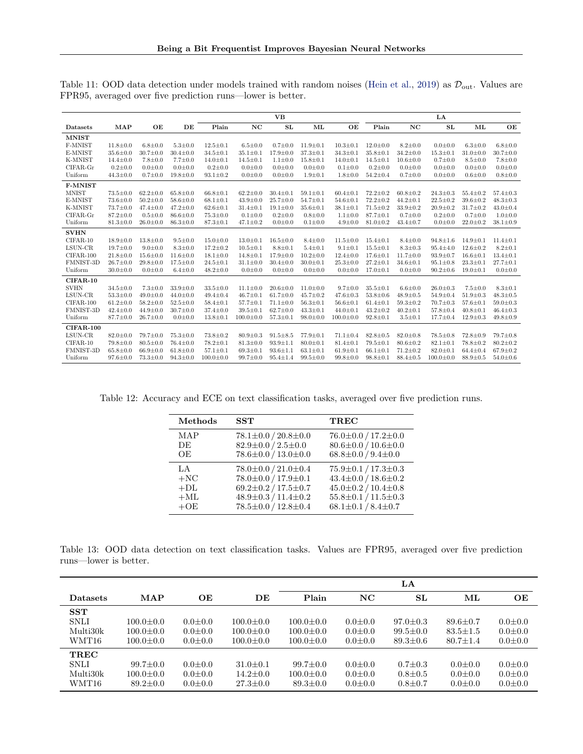|                |                |                |                |                 |                 | <b>VB</b>      |                |                 |                |                | LA              |                |                |
|----------------|----------------|----------------|----------------|-----------------|-----------------|----------------|----------------|-----------------|----------------|----------------|-----------------|----------------|----------------|
| Datasets       | <b>MAP</b>     | OE             | DE             | Plain           | NC              | <b>SL</b>      | МL             | OE              | Plain          | NC             | SL              | ML             | OE             |
| <b>MNIST</b>   |                |                |                |                 |                 |                |                |                 |                |                |                 |                |                |
| F-MNIST        | $11.8 \pm 0.0$ | $6.8 \pm 0.0$  | $5.3 \pm 0.0$  | $12.5 \pm 0.1$  | $6.5 \pm 0.0$   | $0.7 \pm 0.0$  | $11.9 \pm 0.1$ | $10.3 \pm 0.1$  | $12.0 \pm 0.0$ | $8.2 \pm 0.0$  | $0.0 + 0.0$     | $6.3 \pm 0.0$  | $6.8 + 0.0$    |
| E-MNIST        | $35.6 \pm 0.0$ | $30.7 \pm 0.0$ | $30.4 \pm 0.0$ | $34.5 \pm 0.1$  | $35.1 \pm 0.1$  | $17.9 \pm 0.0$ | $37.3 \pm 0.1$ | $34.3 \pm 0.1$  | $35.8 \pm 0.1$ | $34.2 \pm 0.0$ | $15.3 \pm 0.1$  | $31.0 \pm 0.0$ | $30.7 \pm 0.0$ |
| K-MNIST        | $14.4 \pm 0.0$ | $7.8 \pm 0.0$  | $7.7 \pm 0.0$  | $14.0 \pm 0.1$  | $14.5 \pm 0.1$  | $1.1 \pm 0.0$  | $15.8 \pm 0.1$ | $14.0 \pm 0.1$  | $14.5 \pm 0.1$ | $10.6 \pm 0.0$ | $0.7 \pm 0.0$   | $8.5 \pm 0.0$  | $7.8 \pm 0.0$  |
| $CIFAR-Gr$     | $0.2 \pm 0.0$  | $0.0 \pm 0.0$  | $0.0 + 0.0$    | $0.2 \pm 0.0$   | $0.0 + 0.0$     | $0.0 \pm 0.0$  | $0.0 \pm 0.0$  | $0.1 \pm 0.0$   | $0.2 \pm 0.0$  | $0.0 \pm 0.0$  | $0.0 \pm 0.0$   | $0.0 \pm 0.0$  | $0.0 + 0.0$    |
| Uniform        | $44.3 \pm 0.0$ | $0.7 \pm 0.0$  | $19.8 \pm 0.0$ | $93.1 \pm 0.2$  | $0.0 + 0.0$     | $0.0 + 0.0$    | $1.9 \pm 0.1$  | $1.8 \pm 0.0$   | $54.2 \pm 0.4$ | $0.7 \pm 0.0$  | $0.0 + 0.0$     | $0.6 \pm 0.0$  | $0.8 + 0.0$    |
| <b>F-MNIST</b> |                |                |                |                 |                 |                |                |                 |                |                |                 |                |                |
| <b>MNIST</b>   | $73.5 \pm 0.0$ | $62.2 \pm 0.0$ | $65.8 \pm 0.0$ | $66.8 \pm 0.1$  | $62.2 \pm 0.0$  | $30.4 \pm 0.1$ | $59.1 \pm 0.1$ | $60.4 \pm 0.1$  | $72.2 \pm 0.2$ | $60.8 \pm 0.2$ | $24.3 \pm 0.3$  | $55.4 \pm 0.2$ | $57.4 \pm 0.3$ |
| E-MNIST        | $73.6 \pm 0.0$ | $50.2 \pm 0.0$ | $58.6 \pm 0.0$ | $68.1 \pm 0.1$  | $43.9 \pm 0.0$  | $25.7 \pm 0.0$ | $54.7 \pm 0.1$ | $54.6 \pm 0.1$  | $72.2 \pm 0.2$ | $44.2 \pm 0.1$ | $22.5 \pm 0.2$  | $39.6 \pm 0.2$ | $48.3 \pm 0.3$ |
| K-MNIST        | $73.7 \pm 0.0$ | $47.4 \pm 0.0$ | $47.2 \pm 0.0$ | $62.6 \pm 0.1$  | $31.4 \pm 0.1$  | $19.1 \pm 0.0$ | $35.6 \pm 0.1$ | $38.1 \pm 0.1$  | $71.5 \pm 0.2$ | $33.9 \pm 0.2$ | $20.9 \pm 0.2$  | $31.7 \pm 0.2$ | $43.0 \pm 0.4$ |
| $CIFAR-Gr$     | $87.2 \pm 0.0$ | $0.5 \pm 0.0$  | $86.6 \pm 0.0$ | $75.3 \pm 0.0$  | $0.1 \pm 0.0$   | $0.2 \pm 0.0$  | $0.8 \pm 0.0$  | $1.1 \pm 0.0$   | $87.7 \pm 0.1$ | $0.7 \pm 0.0$  | $0.2 \pm 0.0$   | $0.7 \pm 0.0$  | $1.0 \pm 0.0$  |
| Uniform        | $81.3 \pm 0.0$ | $26.0 \pm 0.0$ | $86.3 \pm 0.0$ | $87.3 \pm 0.1$  | $47.1 \pm 0.2$  | $0.0 + 0.0$    | $0.1 \pm 0.0$  | $4.9 \pm 0.0$   | $81.0 \pm 0.2$ | $43.4 \pm 0.7$ | $0.0 + 0.0$     | $22.0 \pm 0.2$ | $38.1 \pm 0.9$ |
| <b>SVHN</b>    |                |                |                |                 |                 |                |                |                 |                |                |                 |                |                |
| $CIFAR-10$     | $18.9 \pm 0.0$ | $13.8 \pm 0.0$ | $9.5 \pm 0.0$  | $15.0 \pm 0.0$  | $13.0 \pm 0.1$  | $16.5 \pm 0.0$ | $8.4 \pm 0.0$  | $11.5 \pm 0.0$  | $15.4 \pm 0.1$ | $8.4 \pm 0.0$  | $94.8 \pm 1.6$  | $14.9 \pm 0.1$ | $11.4 \pm 0.1$ |
| LSUN-CR        | $19.7 \pm 0.0$ | $9.0 \pm 0.0$  | $8.3 \pm 0.0$  | $17.2 \pm 0.2$  | $10.5 \pm 0.1$  | $8.8 \pm 0.1$  | $5.4 \pm 0.1$  | $9.1 \pm 0.1$   | $15.5 \pm 0.1$ | $8.3 \pm 0.3$  | $95.4 \pm 4.0$  | $12.6 \pm 0.2$ | $8.2 \pm 0.1$  |
| $CIFAR-100$    | $21.8 \pm 0.0$ | $15.6 \pm 0.0$ | $11.6 \pm 0.0$ | $18.1 \pm 0.0$  | $14.8 \pm 0.1$  | $17.9 \pm 0.0$ | $10.2 \pm 0.0$ | $12.4 \pm 0.0$  | $17.6 \pm 0.1$ | $11.7 \pm 0.0$ | $93.9 \pm 0.7$  | $16.6 \pm 0.1$ | $13.4 \pm 0.1$ |
| FMNIST-3D      | $26.7 \pm 0.0$ | $29.8 \pm 0.0$ | $17.5 \pm 0.0$ | $24.5 \pm 0.1$  | $31.1 \pm 0.0$  | $30.4 \pm 0.0$ | $30.0 \pm 0.1$ | $25.3 \pm 0.0$  | $27.2 \pm 0.1$ | $34.6 \pm 0.1$ | $95.1 \pm 0.8$  | $23.3 \pm 0.1$ | $27.7 \pm 0.1$ |
| Uniform        | $30.0 \pm 0.0$ | $0.0 \pm 0.0$  | $6.4 \pm 0.0$  | $48.2 \pm 0.0$  | $0.0 + 0.0$     | $0.0 + 0.0$    | $0.0 + 0.0$    | $0.0 + 0.0$     | $17.0 \pm 0.1$ | $0.0 \pm 0.0$  | $90.2 \pm 0.6$  | $19.0 \pm 0.1$ | $0.0 + 0.0$    |
| $CIFAR-10$     |                |                |                |                 |                 |                |                |                 |                |                |                 |                |                |
| <b>SVHN</b>    | $34.5 \pm 0.0$ | $7.3 \pm 0.0$  | $33.9 \pm 0.0$ | $33.5 \pm 0.0$  | $11.1 \pm 0.0$  | $20.6 \pm 0.0$ | $11.0 \pm 0.0$ | $9.7 \pm 0.0$   | $35.5 \pm 0.1$ | $6.6 \pm 0.0$  | $26.0 \pm 0.3$  | $7.5 \pm 0.0$  | $8.3 \pm 0.1$  |
| LSUN-CR        | $53.3 \pm 0.0$ | $49.0 \pm 0.0$ | $44.0 \pm 0.0$ | $49.4 \pm 0.4$  | $46.7 \pm 0.1$  | $61.7 \pm 0.0$ | $45.7 \pm 0.2$ | $47.6 \pm 0.3$  | $53.8 \pm 0.6$ | $48.9 \pm 0.5$ | $54.9 \pm 0.4$  | $51.9 \pm 0.3$ | $48.3 \pm 0.5$ |
| $CIFAR-100$    | $61.2 \pm 0.0$ | $58.2 \pm 0.0$ | $52.5 \pm 0.0$ | $58.4 \pm 0.1$  | $57.7 \pm 0.1$  | $71.1 \pm 0.0$ | $56.3 \pm 0.1$ | $56.6 \pm 0.1$  | $61.4 \pm 0.1$ | $59.3 \pm 0.2$ | $70.7 \pm 0.3$  | $57.6 \pm 0.1$ | $59.0 \pm 0.3$ |
| FMNIST-3D      | $42.4 \pm 0.0$ | $44.9 \pm 0.0$ | $30.7 \pm 0.0$ | $37.4 \pm 0.0$  | $39.5 \pm 0.1$  | $62.7 \pm 0.0$ | $43.3 \pm 0.1$ | $44.0 \pm 0.1$  | $43.2 \pm 0.2$ | $40.2 \pm 0.1$ | $57.8 \pm 0.4$  | $40.8 \pm 0.1$ | $46.4 \pm 0.3$ |
| Uniform        | $87.7 \pm 0.0$ | $26.7 \pm 0.0$ | $0.0 + 0.0$    | $13.8 \pm 0.1$  | $100.0 \pm 0.0$ | $57.3 \pm 0.1$ | $98.0 \pm 0.0$ | $100.0 \pm 0.0$ | $92.8 \pm 0.1$ | $3.5 + 0.1$    | $17.7 \pm 0.4$  | $12.9 \pm 0.3$ | $49.8 \pm 0.9$ |
| $CIFAR-100$    |                |                |                |                 |                 |                |                |                 |                |                |                 |                |                |
| LSUN-CR        | $82.0 \pm 0.0$ | $79.7 \pm 0.0$ | $75.3 \pm 0.0$ | $73.8 \pm 0.2$  | $80.9 \pm 0.3$  | $91.5 \pm 8.5$ | $77.9 \pm 0.1$ | $71.1 \pm 0.4$  | $82.8 \pm 0.5$ | $82.0 \pm 0.8$ | $78.5 \pm 0.8$  | $72.8 \pm 0.9$ | $79.7 \pm 0.8$ |
| $CIFAR-10$     | $79.8 \pm 0.0$ | $80.5 \pm 0.0$ | $76.4 \pm 0.0$ | $78.2 \pm 0.1$  | $81.3 \pm 0.0$  | $93.9 \pm 1.1$ | $80.0 \pm 0.1$ | $81.4 \pm 0.1$  | $79.5 \pm 0.1$ | $80.6 \pm 0.2$ | $82.1 \pm 0.1$  | $78.8 \pm 0.2$ | $80.2 \pm 0.2$ |
| FMNIST-3D      | $65.8 \pm 0.0$ | $66.9 \pm 0.0$ | $61.8 \pm 0.0$ | $57.1 \pm 0.1$  | $69.3 \pm 0.1$  | $93.6 \pm 1.1$ | $63.1 \pm 0.1$ | $61.9 \pm 0.1$  | $66.1 \pm 0.1$ | $71.2 \pm 0.2$ | $82.0 \pm 0.1$  | $64.4 \pm 0.4$ | $67.9 \pm 0.2$ |
| Uniform        | $97.6 \pm 0.0$ | $73.3 \pm 0.0$ | $94.3 \pm 0.0$ | $100.0 \pm 0.0$ | $99.7 \pm 0.0$  | $95.4 \pm 1.4$ | $99.5 \pm 0.0$ | $99.8 \pm 0.0$  | $98.8 \pm 0.1$ | $88.4 \pm 0.5$ | $100.0 \pm 0.0$ | $88.9 \pm 0.5$ | $54.0 \pm 0.6$ |

<span id="page-15-2"></span>Table 11: OOD data detection under models trained with random noises [\(Hein et al.,](#page-8-3) [2019\)](#page-8-3) as  $\mathcal{D}_{\text{out}}$ . Values are FPR95, averaged over five prediction runs—lower is better.

<span id="page-15-0"></span>Table 12: Accuracy and ECE on text classification tasks, averaged over five prediction runs.

| Methods | SST                           | <b>TREC</b>                    |
|---------|-------------------------------|--------------------------------|
| MAP     | $78.1 \pm 0.0 / 20.8 \pm 0.0$ | $76.0 \pm 0.0 / 17.2 \pm 0.0$  |
| DE      | $82.9 \pm 0.0 / 2.5 \pm 0.0$  | $80.6 \pm 0.0 / 10.6 \pm 0.0$  |
| OE      | $78.6 \pm 0.0 / 13.0 \pm 0.0$ | $68.8 \pm 0.0$ / $9.4 \pm 0.0$ |
| LA.     | $78.0 \pm 0.0 / 21.0 \pm 0.4$ | $75.9 \pm 0.1 / 17.3 \pm 0.3$  |
| $+NC$   | 78.0±0.0 / 17.9±0.1           | $43.4 \pm 0.0 / 18.6 \pm 0.2$  |
| $+DL$   | $69.2 \pm 0.2 / 17.5 \pm 0.7$ | $45.0 \pm 0.2 / 10.4 \pm 0.8$  |
| $+ML$   | $48.9 \pm 0.3 / 11.4 \pm 0.2$ | $55.8 \pm 0.1 / 11.5 \pm 0.3$  |
| $+OE$   | $78.5 \pm 0.0 / 12.8 \pm 0.4$ | $68.1 \pm 0.1 / 8.4 \pm 0.7$   |

<span id="page-15-1"></span>Table 13: OOD data detection on text classification tasks. Values are FPR95, averaged over five prediction runs—lower is better.

|                 |                   |               |                 | LA              |               |                |                |               |
|-----------------|-------------------|---------------|-----------------|-----------------|---------------|----------------|----------------|---------------|
| <b>Datasets</b> | <b>MAP</b>        | OЕ            | DE              | Plain           | NC            | SL             | $\mathbf{ML}$  | OЕ            |
| <b>SST</b>      |                   |               |                 |                 |               |                |                |               |
| <b>SNLI</b>     | $100.0 + 0.0$     | $0.0 + 0.0$   | $100.0 + 0.0$   | $100.0 + 0.0$   | $0.0 + 0.0$   | $97.0 + 0.3$   | $89.6 \pm 0.7$ | $0.0 + 0.0$   |
| Multi30k        | $100.0 + 0.0$     | $0.0 \pm 0.0$ | $100.0 + 0.0$   | $100.0 + 0.0$   | $0.0 \pm 0.0$ | $99.5 \pm 0.0$ | $83.5 \pm 1.5$ | $0.0 \pm 0.0$ |
| WMT16           | $100.0 {\pm} 0.0$ | $0.0 \pm 0.0$ | $100.0 \pm 0.0$ | $100.0 \pm 0.0$ | $0.0{\pm}0.0$ | $89.3 \pm 0.6$ | $80.7 \pm 1.4$ | $0.0 \pm 0.0$ |
| TREC            |                   |               |                 |                 |               |                |                |               |
| <b>SNLI</b>     | $99.7+0.0$        | $0.0 + 0.0$   | $31.0 + 0.1$    | $99.7+0.0$      | $0.0 + 0.0$   | $0.7 \pm 0.3$  | $0.0 + 0.0$    | $0.0 \pm 0.0$ |
| Multi30k        | $100.0 + 0.0$     | $0.0 \pm 0.0$ | $14.2 + 0.0$    | $100.0 + 0.0$   | $0.0 + 0.0$   | $0.8 \pm 0.5$  | $0.0 + 0.0$    | $0.0 \pm 0.0$ |
| WMT16           | $89.2 \pm 0.0$    | $0.0 \pm 0.0$ | $27.3 \pm 0.0$  | $89.3 \pm 0.0$  | $0.0{\pm}0.0$ | $0.8 \pm 0.7$  | $0.0 \pm 0.0$  | $0.0 \pm 0.0$ |